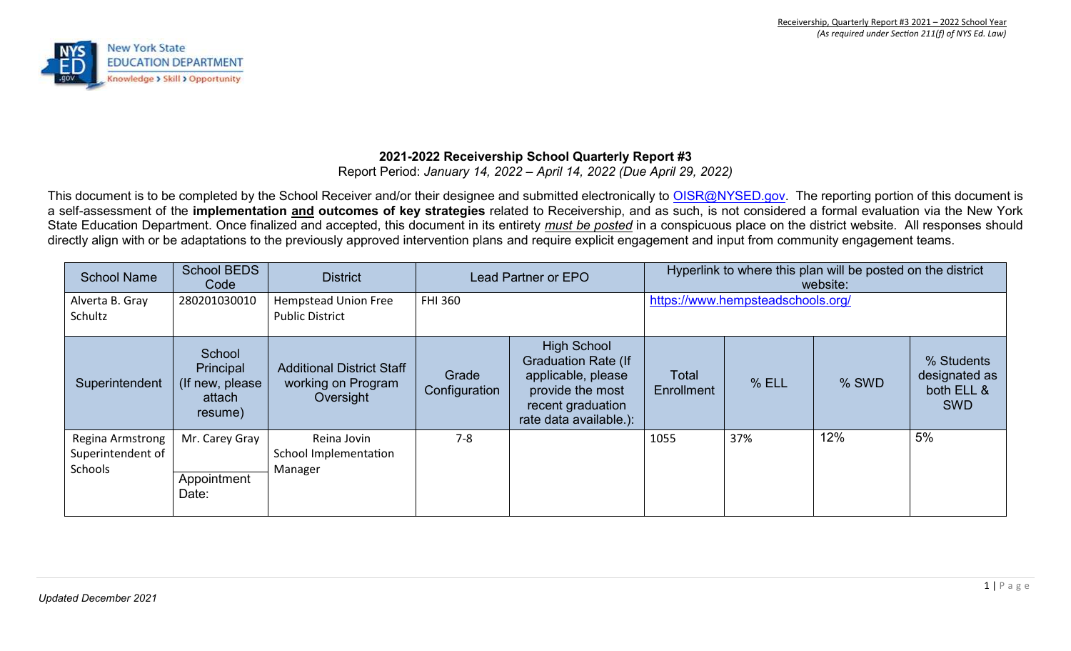

# **2021-2022 Receivership School Quarterly Report #3**

Report Period: *January 14, 2022 – April 14, 2022 (Due April 29, 2022)* 

This document is to be completed by the School Receiver and/or their designee and submitted electronically to OISR@NYSED.gov. The reporting portion of this document is a self-assessment of the **implementation and outcomes of key strategies** related to Receivership, and as such, is not considered a formal evaluation via the New York State Education Department. Once finalized and accepted, this document in its entirety *must be posted* in a conspicuous place on the district website. All responses should directly align with or be adaptations to the previously approved intervention plans and require explicit engagement and input from community engagement teams.

| <b>School Name</b>                               | <b>School BEDS</b><br>Code                                   | <b>District</b>                                                     | <b>Lead Partner or EPO</b> |                                                                                                                                           |                     |                                   | Hyperlink to where this plan will be posted on the district<br>website: |                                                         |
|--------------------------------------------------|--------------------------------------------------------------|---------------------------------------------------------------------|----------------------------|-------------------------------------------------------------------------------------------------------------------------------------------|---------------------|-----------------------------------|-------------------------------------------------------------------------|---------------------------------------------------------|
| Alverta B. Gray<br>Schultz                       | 280201030010                                                 | <b>Hempstead Union Free</b><br><b>Public District</b>               | <b>FHI 360</b>             |                                                                                                                                           |                     | https://www.hempsteadschools.org/ |                                                                         |                                                         |
| Superintendent                                   | School<br>Principal<br>(If new, please)<br>attach<br>resume) | <b>Additional District Staff</b><br>working on Program<br>Oversight | Grade<br>Configuration     | <b>High School</b><br><b>Graduation Rate (If</b><br>applicable, please<br>provide the most<br>recent graduation<br>rate data available.): | Total<br>Enrollment | % ELL                             | % SWD                                                                   | % Students<br>designated as<br>both ELL &<br><b>SWD</b> |
| Regina Armstrong<br>Superintendent of<br>Schools | Mr. Carey Gray<br>Appointment<br>Date:                       | Reina Jovin<br>School Implementation<br>Manager                     | $7 - 8$                    |                                                                                                                                           | 1055                | 37%                               | 12%                                                                     | 5%                                                      |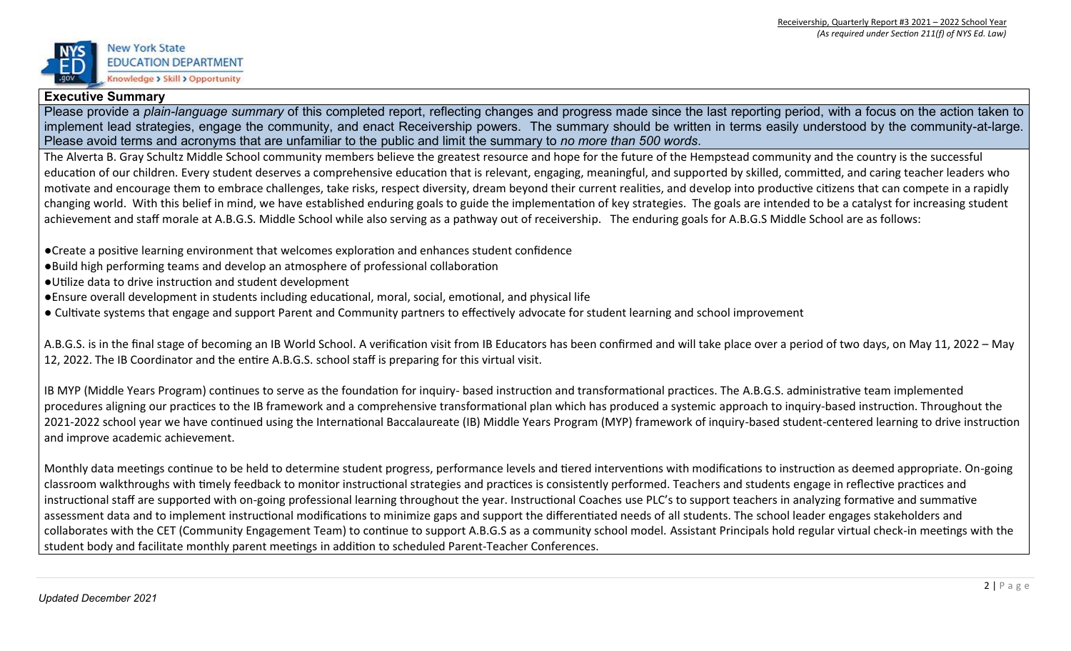

### **Executive Summary**

Please provide a *plain-language summary* of this completed report, reflecting changes and progress made since the last reporting period, with a focus on the action taken to implement lead strategies, engage the community, and enact Receivership powers. The summary should be written in terms easily understood by the community-at-large. Please avoid terms and acronyms that are unfamiliar to the public and limit the summary to *no more than 500 words*.

The Alverta B. Gray Schultz Middle School community members believe the greatest resource and hope for the future of the Hempstead community and the country is the successful education of our children. Every student deserves a comprehensive education that is relevant, engaging, meaningful, and supported by skilled, committed, and caring teacher leaders who motivate and encourage them to embrace challenges, take risks, respect diversity, dream beyond their current realities, and develop into productive citizens that can compete in a rapidly changing world. With this belief in mind, we have established enduring goals to guide the implementation of key strategies. The goals are intended to be a catalyst for increasing student achievement and staff morale at A.B.G.S. Middle School while also serving as a pathway out of receivership. The enduring goals for A.B.G.S Middle School are as follows:

●Create a positive learning environment that welcomes exploration and enhances student confidence

- ●Build high performing teams and develop an atmosphere of professional collaboration
- ●Utilize data to drive instruction and student development
- ●Ensure overall development in students including educational, moral, social, emotional, and physical life
- Cultivate systems that engage and support Parent and Community partners to effectively advocate for student learning and school improvement

A.B.G.S. is in the final stage of becoming an IB World School. A verification visit from IB Educators has been confirmed and will take place over a period of two days, on May 11, 2022 – May 12, 2022. The IB Coordinator and the entire A.B.G.S. school staff is preparing for this virtual visit.

IB MYP (Middle Years Program) continues to serve as the foundation for inquiry- based instruction and transformational practices. The A.B.G.S. administrative team implemented procedures aligning our practices to the IB framework and a comprehensive transformational plan which has produced a systemic approach to inquiry-based instruction. Throughout the 2021-2022 school year we have continued using the International Baccalaureate (IB) Middle Years Program (MYP) framework of inquiry-based student-centered learning to drive instruction and improve academic achievement.

Monthly data meetings continue to be held to determine student progress, performance levels and tiered interventions with modifications to instruction as deemed appropriate. On-going classroom walkthroughs with timely feedback to monitor instructional strategies and practices is consistently performed. Teachers and students engage in reflective practices and instructional staff are supported with on-going professional learning throughout the year. Instructional Coaches use PLC's to support teachers in analyzing formative and summative assessment data and to implement instructional modifications to minimize gaps and support the differentiated needs of all students. The school leader engages stakeholders and collaborates with the CET (Community Engagement Team) to continue to support A.B.G.S as a community school model. Assistant Principals hold regular virtual check-in meetings with the student body and facilitate monthly parent meetings in addition to scheduled Parent-Teacher Conferences.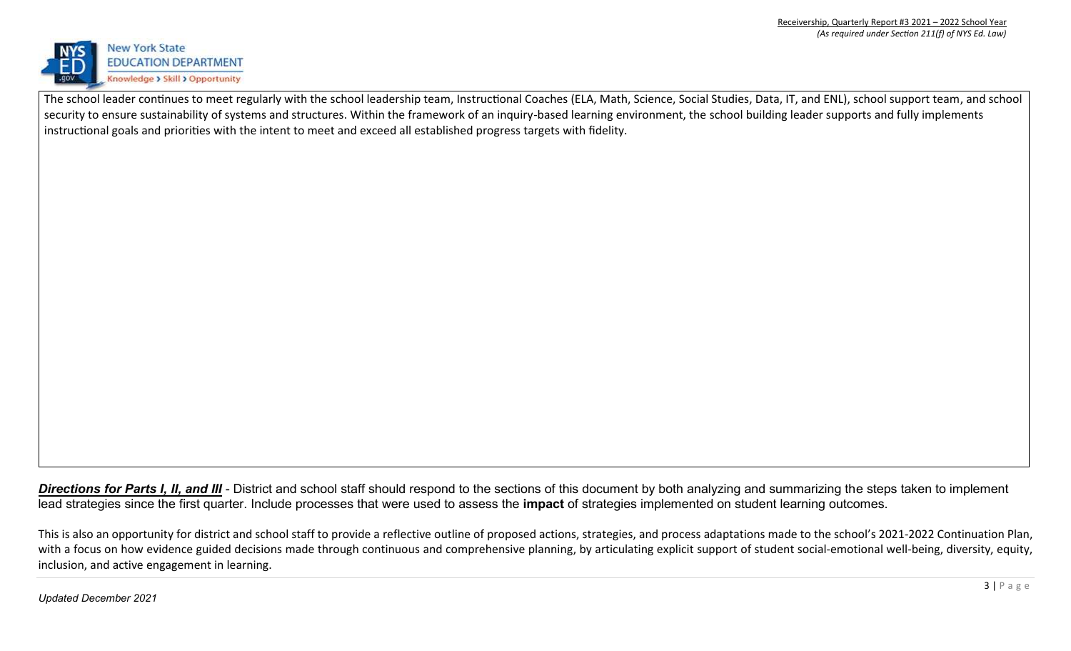

The school leader continues to meet regularly with the school leadership team, Instructional Coaches (ELA, Math, Science, Social Studies, Data, IT, and ENL), school support team, and school security to ensure sustainability of systems and structures. Within the framework of an inquiry-based learning environment, the school building leader supports and fully implements instructional goals and priorities with the intent to meet and exceed all established progress targets with fidelity.

**Directions for Parts I, II, and III** - District and school staff should respond to the sections of this document by both analyzing and summarizing the steps taken to implement lead strategies since the first quarter. Include processes that were used to assess the **impact** of strategies implemented on student learning outcomes.

This is also an opportunity for district and school staff to provide a reflective outline of proposed actions, strategies, and process adaptations made to the school's 2021-2022 Continuation Plan, with a focus on how evidence guided decisions made through continuous and comprehensive planning, by articulating explicit support of student social-emotional well-being, diversity, equity, inclusion, and active engagement in learning.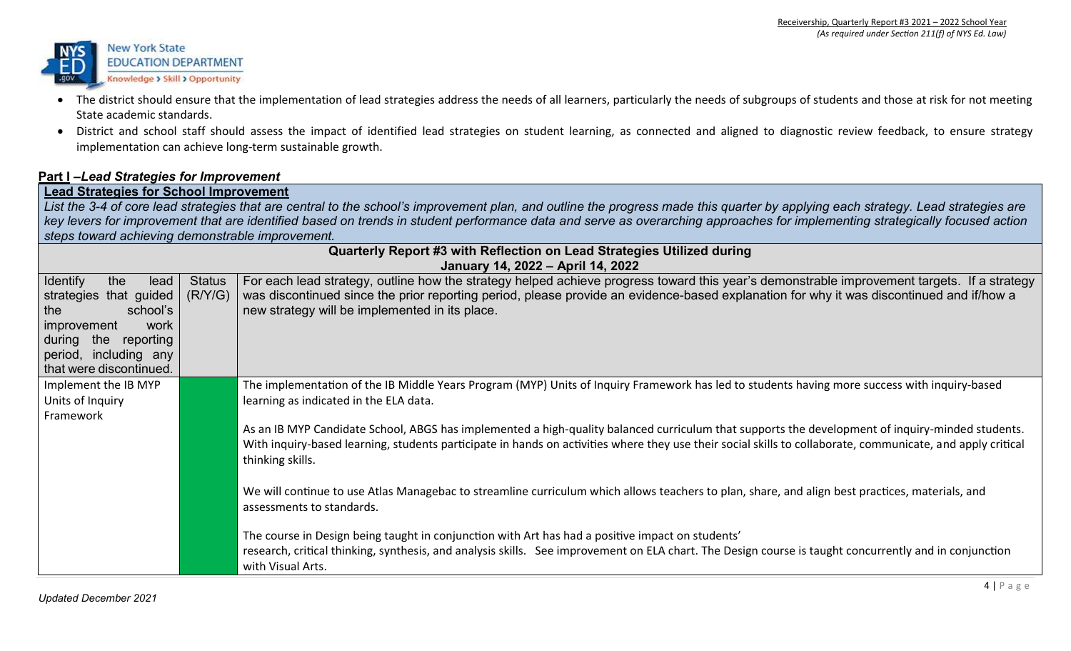

- The district should ensure that the implementation of lead strategies address the needs of all learners, particularly the needs of subgroups of students and those at risk for not meeting State academic standards.
- District and school staff should assess the impact of identified lead strategies on student learning, as connected and aligned to diagnostic review feedback, to ensure strategy implementation can achieve long-term sustainable growth.

## **Part I –***Lead Strategies for Improvement*

**Lead Strategies for School Improvement** 

*List the 3-4 of core lead strategies that are central to the school's improvement plan, and outline the progress made this quarter by applying each strategy. Lead strategies are key levers for improvement that are identified based on trends in student performance data and serve as overarching approaches for implementing strategically focused action steps toward achieving demonstrable improvement.* 

|                                                   |               | Quarterly Report #3 with Reflection on Lead Strategies Utilized during                                                                                                           |
|---------------------------------------------------|---------------|----------------------------------------------------------------------------------------------------------------------------------------------------------------------------------|
| <b>Identify</b><br>the<br>lead                    | <b>Status</b> | January 14, 2022 - April 14, 2022<br>For each lead strategy, outline how the strategy helped achieve progress toward this year's demonstrable improvement targets. If a strategy |
| strategies that guided                            | (R/Y/G)       | was discontinued since the prior reporting period, please provide an evidence-based explanation for why it was discontinued and if/how a                                         |
| school's<br>the                                   |               | new strategy will be implemented in its place.                                                                                                                                   |
| work<br>improvement<br>during<br>reporting<br>the |               |                                                                                                                                                                                  |
| period, including any                             |               |                                                                                                                                                                                  |
| that were discontinued.                           |               |                                                                                                                                                                                  |
| Implement the IB MYP                              |               | The implementation of the IB Middle Years Program (MYP) Units of Inquiry Framework has led to students having more success with inquiry-based                                    |
| Units of Inquiry<br>Framework                     |               | learning as indicated in the ELA data.                                                                                                                                           |
|                                                   |               | As an IB MYP Candidate School, ABGS has implemented a high-quality balanced curriculum that supports the development of inquiry-minded students.                                 |
|                                                   |               | With inquiry-based learning, students participate in hands on activities where they use their social skills to collaborate, communicate, and apply critical                      |
|                                                   |               | thinking skills.                                                                                                                                                                 |
|                                                   |               | We will continue to use Atlas Managebac to streamline curriculum which allows teachers to plan, share, and align best practices, materials, and                                  |
|                                                   |               | assessments to standards.                                                                                                                                                        |
|                                                   |               | The course in Design being taught in conjunction with Art has had a positive impact on students'                                                                                 |
|                                                   |               | research, critical thinking, synthesis, and analysis skills. See improvement on ELA chart. The Design course is taught concurrently and in conjunction                           |
|                                                   |               | with Visual Arts.                                                                                                                                                                |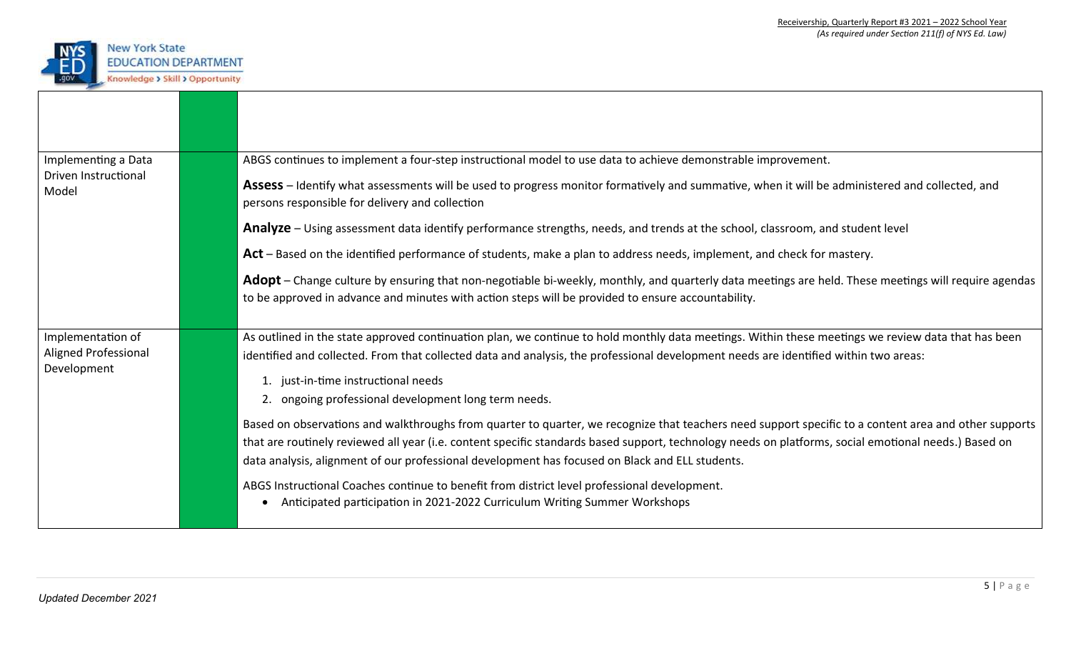

| Implementing a Data           | ABGS continues to implement a four-step instructional model to use data to achieve demonstrable improvement.                                                                                                                                               |  |
|-------------------------------|------------------------------------------------------------------------------------------------------------------------------------------------------------------------------------------------------------------------------------------------------------|--|
| Driven Instructional<br>Model | Assess – Identify what assessments will be used to progress monitor formatively and summative, when it will be administered and collected, and<br>persons responsible for delivery and collection                                                          |  |
|                               | Analyze – Using assessment data identify performance strengths, needs, and trends at the school, classroom, and student level                                                                                                                              |  |
|                               | Act – Based on the identified performance of students, make a plan to address needs, implement, and check for mastery.                                                                                                                                     |  |
|                               | Adopt – Change culture by ensuring that non-negotiable bi-weekly, monthly, and quarterly data meetings are held. These meetings will require agendas<br>to be approved in advance and minutes with action steps will be provided to ensure accountability. |  |
| Implementation of             | As outlined in the state approved continuation plan, we continue to hold monthly data meetings. Within these meetings we review data that has been                                                                                                         |  |
| <b>Aligned Professional</b>   | identified and collected. From that collected data and analysis, the professional development needs are identified within two areas:                                                                                                                       |  |
| Development                   | 1. just-in-time instructional needs                                                                                                                                                                                                                        |  |
|                               | 2. ongoing professional development long term needs.                                                                                                                                                                                                       |  |
|                               | Based on observations and walkthroughs from quarter to quarter, we recognize that teachers need support specific to a content area and other supports                                                                                                      |  |
|                               | that are routinely reviewed all year (i.e. content specific standards based support, technology needs on platforms, social emotional needs.) Based on                                                                                                      |  |
|                               | data analysis, alignment of our professional development has focused on Black and ELL students.                                                                                                                                                            |  |
|                               | ABGS Instructional Coaches continue to benefit from district level professional development.<br>Anticipated participation in 2021-2022 Curriculum Writing Summer Workshops                                                                                 |  |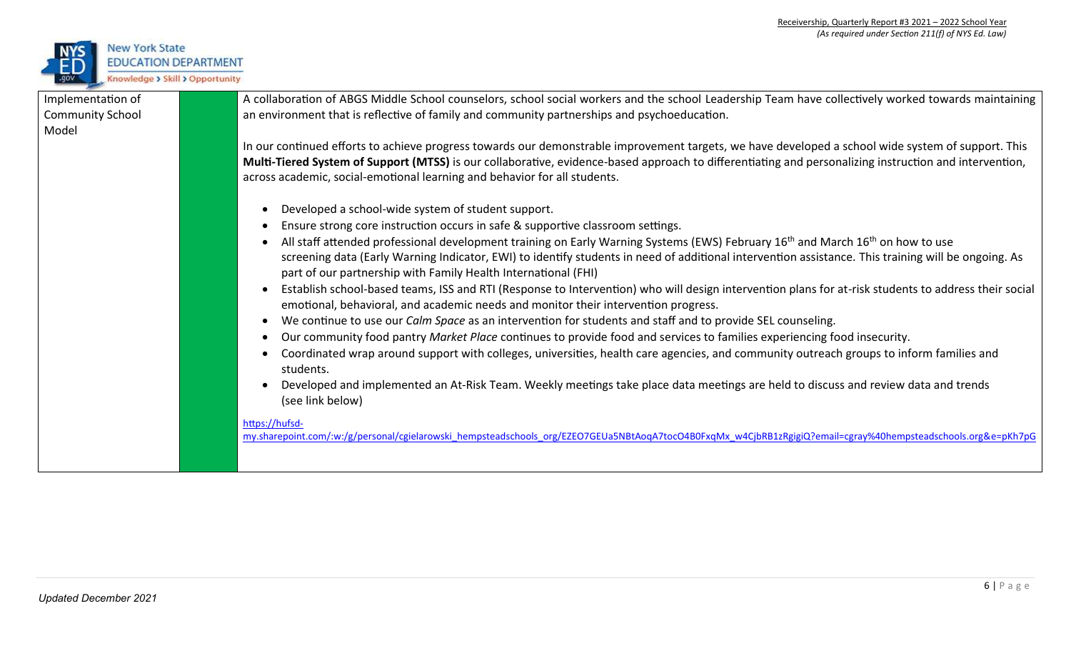

| Implementation of       | A collaboration of ABGS Middle School counselors, school social workers and the school Leadership Team have collectively worked towards maintaining                                                                                        |
|-------------------------|--------------------------------------------------------------------------------------------------------------------------------------------------------------------------------------------------------------------------------------------|
| <b>Community School</b> | an environment that is reflective of family and community partnerships and psychoeducation.                                                                                                                                                |
| Model                   |                                                                                                                                                                                                                                            |
|                         | In our continued efforts to achieve progress towards our demonstrable improvement targets, we have developed a school wide system of support. This                                                                                         |
|                         | Multi-Tiered System of Support (MTSS) is our collaborative, evidence-based approach to differentiating and personalizing instruction and intervention,                                                                                     |
|                         | across academic, social-emotional learning and behavior for all students.                                                                                                                                                                  |
|                         | Developed a school-wide system of student support.                                                                                                                                                                                         |
|                         | Ensure strong core instruction occurs in safe & supportive classroom settings.                                                                                                                                                             |
|                         | All staff attended professional development training on Early Warning Systems (EWS) February 16 <sup>th</sup> and March 16 <sup>th</sup> on how to use                                                                                     |
|                         | screening data (Early Warning Indicator, EWI) to identify students in need of additional intervention assistance. This training will be ongoing. As<br>part of our partnership with Family Health International (FHI)                      |
|                         | Establish school-based teams, ISS and RTI (Response to Intervention) who will design intervention plans for at-risk students to address their social<br>emotional, behavioral, and academic needs and monitor their intervention progress. |
|                         | We continue to use our <i>Calm Space</i> as an intervention for students and staff and to provide SEL counseling.                                                                                                                          |
|                         | Our community food pantry Market Place continues to provide food and services to families experiencing food insecurity.                                                                                                                    |
|                         | Coordinated wrap around support with colleges, universities, health care agencies, and community outreach groups to inform families and<br>students.                                                                                       |
|                         | Developed and implemented an At-Risk Team. Weekly meetings take place data meetings are held to discuss and review data and trends<br>(see link below)                                                                                     |
|                         | https://hufsd-<br>my.sharepoint.com/:w:/g/personal/cgielarowski hempsteadschools org/EZEO7GEUa5NBtAoqA7tocO4B0FxqMx w4CjbRB1zRgigiQ?email=cgray%40hempsteadschools.org&e=pKh7pG                                                            |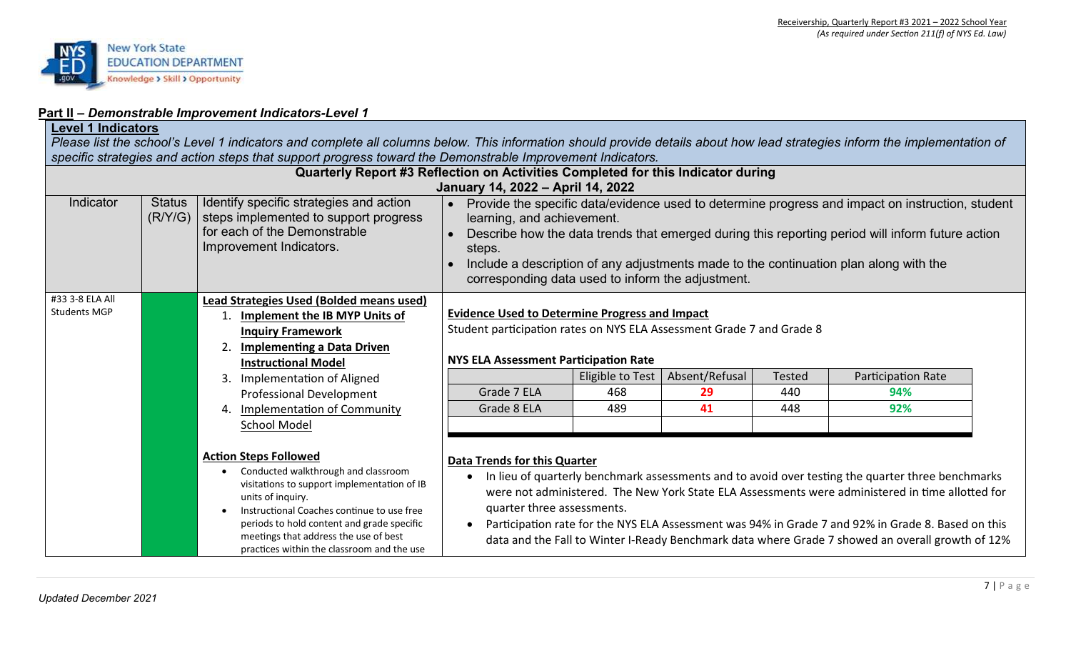

## **Part II –** *Demonstrable Improvement Indicators-Level 1*

## **Level 1 Indicators**

Please list the school's Level 1 indicators and complete all columns below. This information should provide details about how lead strategies inform the implementation of *specific strategies and action steps that support progress toward the Demonstrable Improvement Indicators.* 

|                                        |                          | Quarterly Report #3 Reflection on Activities Completed for this Indicator during                                                                                                                                                                                                                                                        |                                                                                                                                                                                                                                                                                                                                                                                            |                                |                            |                             |                                                                                                                                                                                                                                                                                                                                                                                                                 |  |
|----------------------------------------|--------------------------|-----------------------------------------------------------------------------------------------------------------------------------------------------------------------------------------------------------------------------------------------------------------------------------------------------------------------------------------|--------------------------------------------------------------------------------------------------------------------------------------------------------------------------------------------------------------------------------------------------------------------------------------------------------------------------------------------------------------------------------------------|--------------------------------|----------------------------|-----------------------------|-----------------------------------------------------------------------------------------------------------------------------------------------------------------------------------------------------------------------------------------------------------------------------------------------------------------------------------------------------------------------------------------------------------------|--|
|                                        |                          |                                                                                                                                                                                                                                                                                                                                         | January 14, 2022 - April 14, 2022                                                                                                                                                                                                                                                                                                                                                          |                                |                            |                             |                                                                                                                                                                                                                                                                                                                                                                                                                 |  |
| Indicator                              | <b>Status</b><br>(R/Y/G) | Identify specific strategies and action<br>steps implemented to support progress<br>for each of the Demonstrable<br>Improvement Indicators.                                                                                                                                                                                             | Provide the specific data/evidence used to determine progress and impact on instruction, student<br>learning, and achievement.<br>Describe how the data trends that emerged during this reporting period will inform future action<br>steps.<br>Include a description of any adjustments made to the continuation plan along with the<br>corresponding data used to inform the adjustment. |                                |                            |                             |                                                                                                                                                                                                                                                                                                                                                                                                                 |  |
| #33 3-8 ELA All<br><b>Students MGP</b> |                          | <b>Lead Strategies Used (Bolded means used)</b><br>Implement the IB MYP Units of<br><b>Inquiry Framework</b><br><b>Implementing a Data Driven</b><br><b>Instructional Model</b><br>Implementation of Aligned<br>3.<br>Professional Development<br><b>Implementation of Community</b><br>4.<br><b>School Model</b>                       | <b>Evidence Used to Determine Progress and Impact</b><br>Student participation rates on NYS ELA Assessment Grade 7 and Grade 8<br><b>NYS ELA Assessment Participation Rate</b><br>Grade 7 ELA<br>Grade 8 ELA                                                                                                                                                                               | Eligible to Test<br>468<br>489 | Absent/Refusal<br>29<br>41 | <b>Tested</b><br>440<br>448 | Participation Rate<br>94%<br>92%                                                                                                                                                                                                                                                                                                                                                                                |  |
|                                        |                          | <b>Action Steps Followed</b><br>Conducted walkthrough and classroom<br>$\bullet$<br>visitations to support implementation of IB<br>units of inquiry.<br>Instructional Coaches continue to use free<br>periods to hold content and grade specific<br>meetings that address the use of best<br>practices within the classroom and the use | <b>Data Trends for this Quarter</b><br>quarter three assessments.<br>$\bullet$                                                                                                                                                                                                                                                                                                             |                                |                            |                             | In lieu of quarterly benchmark assessments and to avoid over testing the quarter three benchmarks<br>were not administered. The New York State ELA Assessments were administered in time allotted for<br>Participation rate for the NYS ELA Assessment was 94% in Grade 7 and 92% in Grade 8. Based on this<br>data and the Fall to Winter I-Ready Benchmark data where Grade 7 showed an overall growth of 12% |  |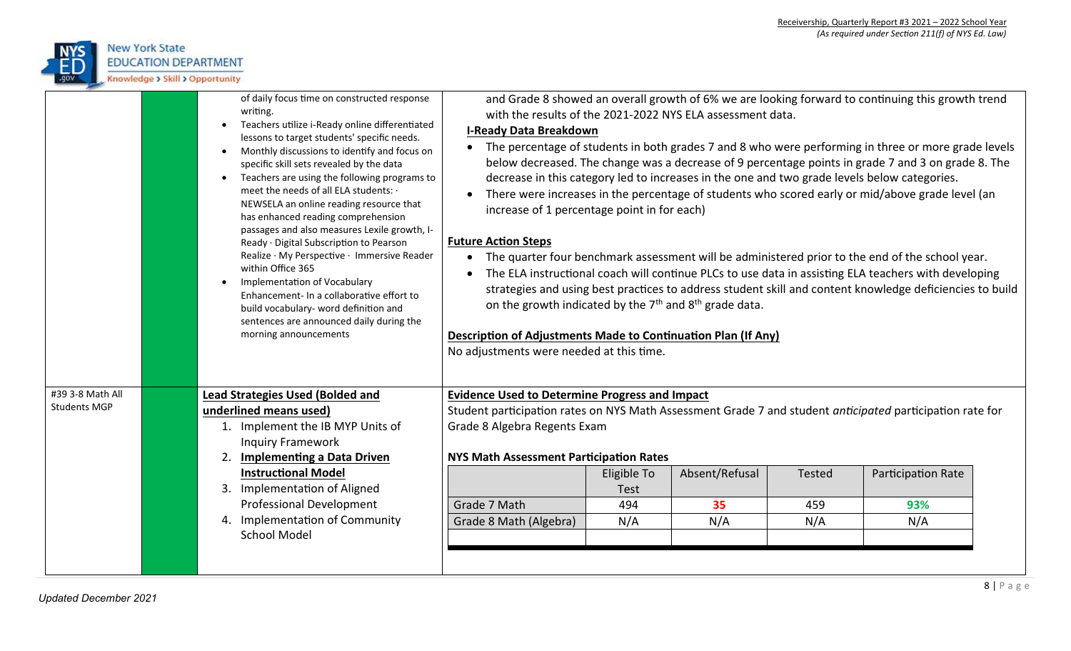

|                     | of daily focus time on constructed response<br>writing.<br>Teachers utilize i-Ready online differentiated<br>lessons to target students' specific needs.<br>Monthly discussions to identify and focus on<br>specific skill sets revealed by the data<br>Teachers are using the following programs to<br>meet the needs of all ELA students: .<br>NEWSELA an online reading resource that<br>has enhanced reading comprehension<br>passages and also measures Lexile growth, I-<br>Ready · Digital Subscription to Pearson<br>Realize · My Perspective · Immersive Reader<br>within Office 365<br>Implementation of Vocabulary<br>Enhancement- In a collaborative effort to<br>build vocabulary- word definition and<br>sentences are announced daily during the<br>morning announcements | with the results of the 2021-2022 NYS ELA assessment data.<br><b>I-Ready Data Breakdown</b><br>$\bullet$<br>increase of 1 percentage point in for each)<br><b>Future Action Steps</b><br>$\bullet$<br>on the growth indicated by the $7th$ and $8th$ grade data.<br>Description of Adjustments Made to Continuation Plan (If Any)<br>No adjustments were needed at this time. |             |                |        | and Grade 8 showed an overall growth of 6% we are looking forward to continuing this growth trend<br>The percentage of students in both grades 7 and 8 who were performing in three or more grade levels<br>below decreased. The change was a decrease of 9 percentage points in grade 7 and 3 on grade 8. The<br>decrease in this category led to increases in the one and two grade levels below categories.<br>There were increases in the percentage of students who scored early or mid/above grade level (an<br>The quarter four benchmark assessment will be administered prior to the end of the school year.<br>The ELA instructional coach will continue PLCs to use data in assisting ELA teachers with developing<br>strategies and using best practices to address student skill and content knowledge deficiencies to build |  |
|---------------------|------------------------------------------------------------------------------------------------------------------------------------------------------------------------------------------------------------------------------------------------------------------------------------------------------------------------------------------------------------------------------------------------------------------------------------------------------------------------------------------------------------------------------------------------------------------------------------------------------------------------------------------------------------------------------------------------------------------------------------------------------------------------------------------|-------------------------------------------------------------------------------------------------------------------------------------------------------------------------------------------------------------------------------------------------------------------------------------------------------------------------------------------------------------------------------|-------------|----------------|--------|-------------------------------------------------------------------------------------------------------------------------------------------------------------------------------------------------------------------------------------------------------------------------------------------------------------------------------------------------------------------------------------------------------------------------------------------------------------------------------------------------------------------------------------------------------------------------------------------------------------------------------------------------------------------------------------------------------------------------------------------------------------------------------------------------------------------------------------------|--|
| #39 3-8 Math All    | <b>Lead Strategies Used (Bolded and</b>                                                                                                                                                                                                                                                                                                                                                                                                                                                                                                                                                                                                                                                                                                                                                  | <b>Evidence Used to Determine Progress and Impact</b>                                                                                                                                                                                                                                                                                                                         |             |                |        |                                                                                                                                                                                                                                                                                                                                                                                                                                                                                                                                                                                                                                                                                                                                                                                                                                           |  |
| <b>Students MGP</b> | underlined means used)                                                                                                                                                                                                                                                                                                                                                                                                                                                                                                                                                                                                                                                                                                                                                                   | Student participation rates on NYS Math Assessment Grade 7 and student anticipated participation rate for                                                                                                                                                                                                                                                                     |             |                |        |                                                                                                                                                                                                                                                                                                                                                                                                                                                                                                                                                                                                                                                                                                                                                                                                                                           |  |
|                     | 1. Implement the IB MYP Units of                                                                                                                                                                                                                                                                                                                                                                                                                                                                                                                                                                                                                                                                                                                                                         | Grade 8 Algebra Regents Exam                                                                                                                                                                                                                                                                                                                                                  |             |                |        |                                                                                                                                                                                                                                                                                                                                                                                                                                                                                                                                                                                                                                                                                                                                                                                                                                           |  |
|                     | <b>Inquiry Framework</b>                                                                                                                                                                                                                                                                                                                                                                                                                                                                                                                                                                                                                                                                                                                                                                 |                                                                                                                                                                                                                                                                                                                                                                               |             |                |        |                                                                                                                                                                                                                                                                                                                                                                                                                                                                                                                                                                                                                                                                                                                                                                                                                                           |  |
|                     | <b>Implementing a Data Driven</b><br>2.                                                                                                                                                                                                                                                                                                                                                                                                                                                                                                                                                                                                                                                                                                                                                  | <b>NYS Math Assessment Participation Rates</b>                                                                                                                                                                                                                                                                                                                                |             |                |        |                                                                                                                                                                                                                                                                                                                                                                                                                                                                                                                                                                                                                                                                                                                                                                                                                                           |  |
|                     | <b>Instructional Model</b>                                                                                                                                                                                                                                                                                                                                                                                                                                                                                                                                                                                                                                                                                                                                                               |                                                                                                                                                                                                                                                                                                                                                                               | Eligible To | Absent/Refusal | Tested | Participation Rate                                                                                                                                                                                                                                                                                                                                                                                                                                                                                                                                                                                                                                                                                                                                                                                                                        |  |
|                     | <b>Implementation of Aligned</b><br>3.                                                                                                                                                                                                                                                                                                                                                                                                                                                                                                                                                                                                                                                                                                                                                   |                                                                                                                                                                                                                                                                                                                                                                               | Test        |                |        |                                                                                                                                                                                                                                                                                                                                                                                                                                                                                                                                                                                                                                                                                                                                                                                                                                           |  |
|                     | <b>Professional Development</b>                                                                                                                                                                                                                                                                                                                                                                                                                                                                                                                                                                                                                                                                                                                                                          | Grade 7 Math                                                                                                                                                                                                                                                                                                                                                                  | 494         | 35             | 459    | 93%                                                                                                                                                                                                                                                                                                                                                                                                                                                                                                                                                                                                                                                                                                                                                                                                                                       |  |
|                     | Implementation of Community<br>4.                                                                                                                                                                                                                                                                                                                                                                                                                                                                                                                                                                                                                                                                                                                                                        | Grade 8 Math (Algebra)                                                                                                                                                                                                                                                                                                                                                        | N/A         | N/A            | N/A    | N/A                                                                                                                                                                                                                                                                                                                                                                                                                                                                                                                                                                                                                                                                                                                                                                                                                                       |  |
|                     | <b>School Model</b>                                                                                                                                                                                                                                                                                                                                                                                                                                                                                                                                                                                                                                                                                                                                                                      |                                                                                                                                                                                                                                                                                                                                                                               |             |                |        |                                                                                                                                                                                                                                                                                                                                                                                                                                                                                                                                                                                                                                                                                                                                                                                                                                           |  |
|                     |                                                                                                                                                                                                                                                                                                                                                                                                                                                                                                                                                                                                                                                                                                                                                                                          |                                                                                                                                                                                                                                                                                                                                                                               |             |                |        |                                                                                                                                                                                                                                                                                                                                                                                                                                                                                                                                                                                                                                                                                                                                                                                                                                           |  |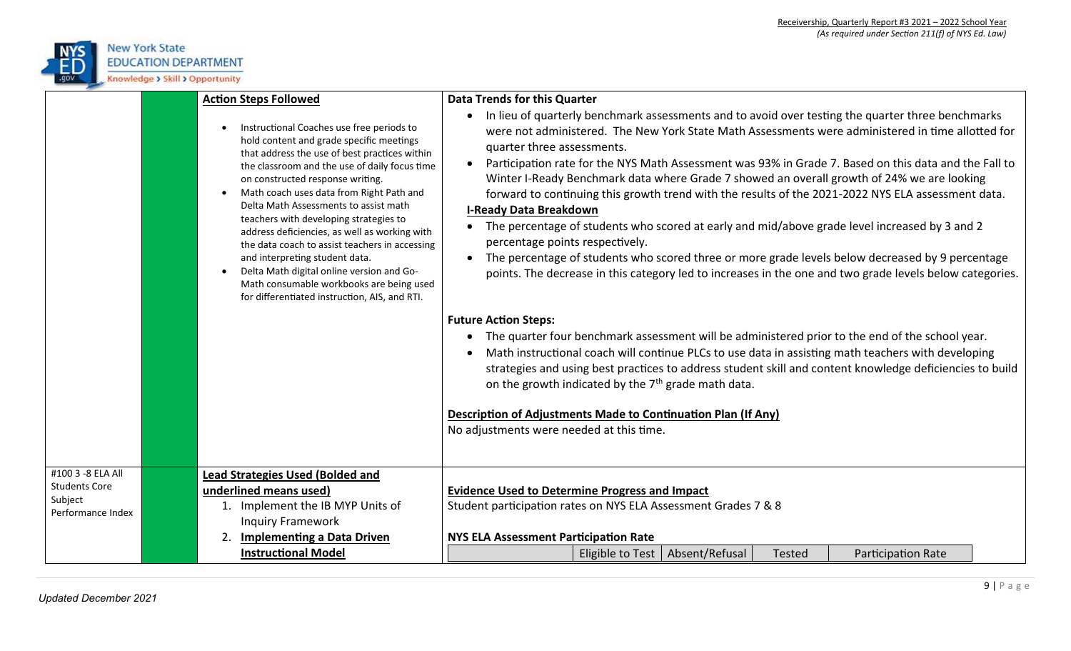

|                                                                           | <b>Action Steps Followed</b><br>Instructional Coaches use free periods to<br>hold content and grade specific meetings<br>that address the use of best practices within<br>the classroom and the use of daily focus time<br>on constructed response writing.<br>Math coach uses data from Right Path and<br>Delta Math Assessments to assist math<br>teachers with developing strategies to<br>address deficiencies, as well as working with<br>the data coach to assist teachers in accessing<br>and interpreting student data.<br>Delta Math digital online version and Go-<br>Math consumable workbooks are being used<br>for differentiated instruction, AIS, and RTI. | <b>Data Trends for this Quarter</b><br>In lieu of quarterly benchmark assessments and to avoid over testing the quarter three benchmarks<br>were not administered. The New York State Math Assessments were administered in time allotted for<br>quarter three assessments.<br>Participation rate for the NYS Math Assessment was 93% in Grade 7. Based on this data and the Fall to<br>Winter I-Ready Benchmark data where Grade 7 showed an overall growth of 24% we are looking<br>forward to continuing this growth trend with the results of the 2021-2022 NYS ELA assessment data.<br><b>I-Ready Data Breakdown</b><br>The percentage of students who scored at early and mid/above grade level increased by 3 and 2<br>percentage points respectively.<br>The percentage of students who scored three or more grade levels below decreased by 9 percentage<br>points. The decrease in this category led to increases in the one and two grade levels below categories.<br><b>Future Action Steps:</b><br>The quarter four benchmark assessment will be administered prior to the end of the school year.<br>Math instructional coach will continue PLCs to use data in assisting math teachers with developing<br>strategies and using best practices to address student skill and content knowledge deficiencies to build<br>on the growth indicated by the 7 <sup>th</sup> grade math data.<br>Description of Adjustments Made to Continuation Plan (If Any)<br>No adjustments were needed at this time. |
|---------------------------------------------------------------------------|---------------------------------------------------------------------------------------------------------------------------------------------------------------------------------------------------------------------------------------------------------------------------------------------------------------------------------------------------------------------------------------------------------------------------------------------------------------------------------------------------------------------------------------------------------------------------------------------------------------------------------------------------------------------------|-------------------------------------------------------------------------------------------------------------------------------------------------------------------------------------------------------------------------------------------------------------------------------------------------------------------------------------------------------------------------------------------------------------------------------------------------------------------------------------------------------------------------------------------------------------------------------------------------------------------------------------------------------------------------------------------------------------------------------------------------------------------------------------------------------------------------------------------------------------------------------------------------------------------------------------------------------------------------------------------------------------------------------------------------------------------------------------------------------------------------------------------------------------------------------------------------------------------------------------------------------------------------------------------------------------------------------------------------------------------------------------------------------------------------------------------------------------------------------------------------------------------|
| #100 3 -8 ELA All<br><b>Students Core</b><br>Subject<br>Performance Index | <b>Lead Strategies Used (Bolded and</b><br>underlined means used)<br>1. Implement the IB MYP Units of<br><b>Inquiry Framework</b><br><b>Implementing a Data Driven</b><br>2.<br><b>Instructional Model</b>                                                                                                                                                                                                                                                                                                                                                                                                                                                                | <b>Evidence Used to Determine Progress and Impact</b><br>Student participation rates on NYS ELA Assessment Grades 7 & 8<br><b>NYS ELA Assessment Participation Rate</b><br>Absent/Refusal<br>Eligible to Test<br>Participation Rate<br><b>Tested</b>                                                                                                                                                                                                                                                                                                                                                                                                                                                                                                                                                                                                                                                                                                                                                                                                                                                                                                                                                                                                                                                                                                                                                                                                                                                              |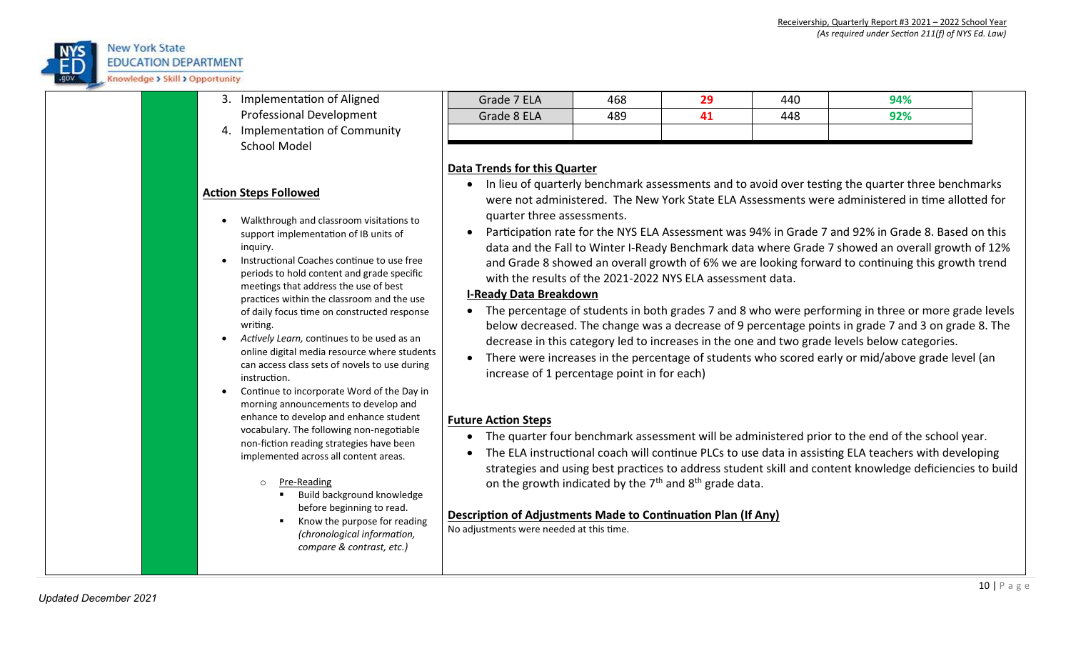

- 3. Implementation of Aligned Professional Development
	- 4. Implementation of Community School Model

#### **Action Steps Followed**

- Walkthrough and classroom visitations to support implementation of IB units of inquiry.
- Instructional Coaches continue to use free periods to hold content and grade specific meetings that address the use of best practices within the classroom and the use of daily focus time on constructed response writing.
- *Actively Learn,* continues to be used as an online digital media resource where students can access class sets of novels to use during instruction.
- Continue to incorporate Word of the Day in morning announcements to develop and enhance to develop and enhance student vocabulary. The following non-negotiable non-fiction reading strategies have been implemented across all content areas.
	- o Pre-Reading
		- Build background knowledge before beginning to read.
		- Know the purpose for reading *(chronological information, compare & contrast, etc.)*

| Grade 7 ELA | 468 | חר<br>æ | 440 | 94% |
|-------------|-----|---------|-----|-----|
| Grade 8 ELA | 489 |         | 448 | 92% |
|             |     |         |     |     |

### **Data Trends for this Quarter**

- In lieu of quarterly benchmark assessments and to avoid over testing the quarter three benchmarks were not administered. The New York State ELA Assessments were administered in time allotted for quarter three assessments.
- Participation rate for the NYS ELA Assessment was 94% in Grade 7 and 92% in Grade 8. Based on this data and the Fall to Winter I-Ready Benchmark data where Grade 7 showed an overall growth of 12% and Grade 8 showed an overall growth of 6% we are looking forward to continuing this growth trend with the results of the 2021-2022 NYS ELA assessment data.

### **I-Ready Data Breakdown**

- The percentage of students in both grades 7 and 8 who were performing in three or more grade levels below decreased. The change was a decrease of 9 percentage points in grade 7 and 3 on grade 8. The decrease in this category led to increases in the one and two grade levels below categories.
- There were increases in the percentage of students who scored early or mid/above grade level (an increase of 1 percentage point in for each)

### **Future Action Steps**

- The quarter four benchmark assessment will be administered prior to the end of the school year.
- The ELA instructional coach will continue PLCs to use data in assisting ELA teachers with developing strategies and using best practices to address student skill and content knowledge deficiencies to build on the growth indicated by the  $7<sup>th</sup>$  and  $8<sup>th</sup>$  grade data.

### **Description of Adjustments Made to Continuation Plan (If Any)**

No adjustments were needed at this time.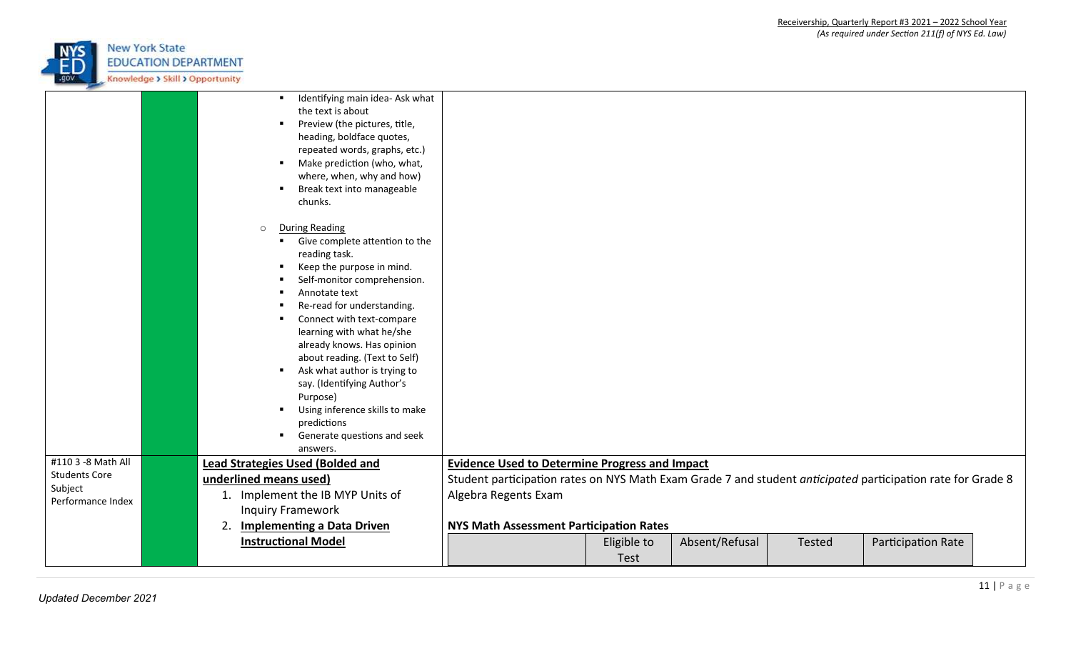

|                                            | Identifying main idea- Ask what<br>$\blacksquare$<br>the text is about<br>Preview (the pictures, title,<br>heading, boldface quotes,<br>repeated words, graphs, etc.)<br>Make prediction (who, what,<br>where, when, why and how)<br>Break text into manageable<br>٠<br>chunks.                                                                                                                                                                                                                                                                                                          |                                                                                                             |             |                |        |                    |  |
|--------------------------------------------|------------------------------------------------------------------------------------------------------------------------------------------------------------------------------------------------------------------------------------------------------------------------------------------------------------------------------------------------------------------------------------------------------------------------------------------------------------------------------------------------------------------------------------------------------------------------------------------|-------------------------------------------------------------------------------------------------------------|-------------|----------------|--------|--------------------|--|
|                                            | <b>During Reading</b><br>$\Omega$<br>Give complete attention to the<br>$\blacksquare$<br>reading task.<br>Keep the purpose in mind.<br>Self-monitor comprehension.<br>Annotate text<br>Re-read for understanding.<br>Connect with text-compare<br>$\blacksquare$<br>learning with what he/she<br>already knows. Has opinion<br>about reading. (Text to Self)<br>Ask what author is trying to<br>$\blacksquare$<br>say. (Identifying Author's<br>Purpose)<br>Using inference skills to make<br>$\blacksquare$<br>predictions<br>Generate questions and seek<br>$\blacksquare$<br>answers. |                                                                                                             |             |                |        |                    |  |
| #110 3 -8 Math All<br><b>Students Core</b> | <b>Lead Strategies Used (Bolded and</b>                                                                                                                                                                                                                                                                                                                                                                                                                                                                                                                                                  | <b>Evidence Used to Determine Progress and Impact</b>                                                       |             |                |        |                    |  |
| Subject                                    | underlined means used)<br>1. Implement the IB MYP Units of                                                                                                                                                                                                                                                                                                                                                                                                                                                                                                                               | Student participation rates on NYS Math Exam Grade 7 and student anticipated participation rate for Grade 8 |             |                |        |                    |  |
| Performance Index                          | <b>Inquiry Framework</b>                                                                                                                                                                                                                                                                                                                                                                                                                                                                                                                                                                 | Algebra Regents Exam                                                                                        |             |                |        |                    |  |
|                                            | <b>Implementing a Data Driven</b><br>2.                                                                                                                                                                                                                                                                                                                                                                                                                                                                                                                                                  | NYS Math Assessment Participation Rates                                                                     |             |                |        |                    |  |
|                                            | <b>Instructional Model</b>                                                                                                                                                                                                                                                                                                                                                                                                                                                                                                                                                               |                                                                                                             | Eligible to | Absent/Refusal | Tested | Participation Rate |  |
|                                            |                                                                                                                                                                                                                                                                                                                                                                                                                                                                                                                                                                                          |                                                                                                             | Test        |                |        |                    |  |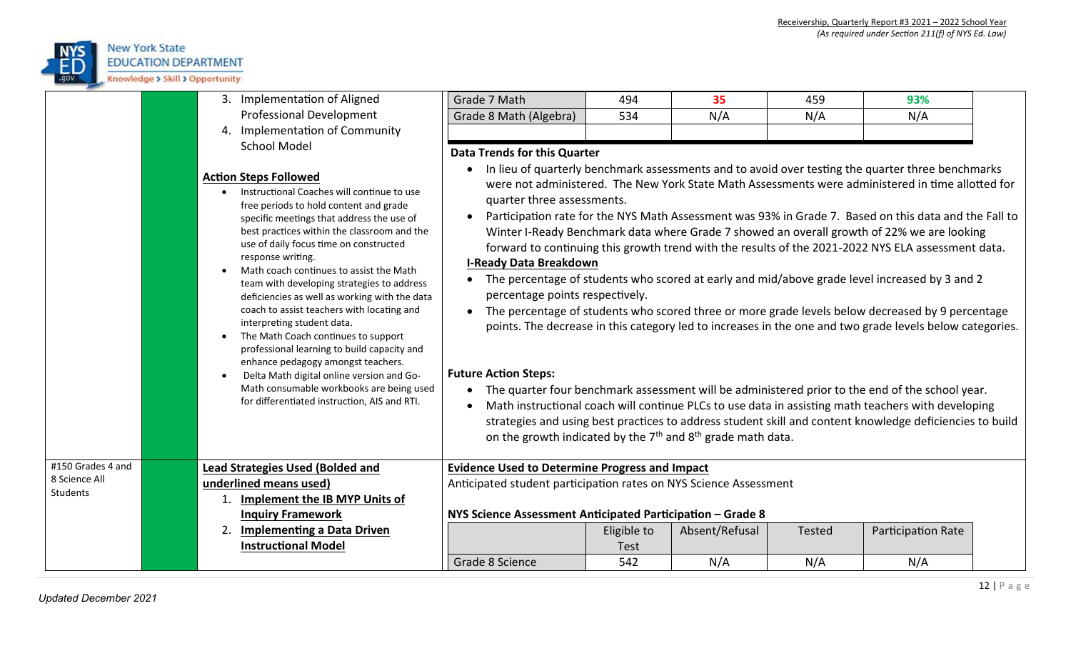

|                                                       | 3. Implementation of Aligned<br><b>Professional Development</b><br>4. Implementation of Community<br><b>School Model</b>                                                                                                                                                                                                                                                                                                                                                                                                                                                                                                                                                                                                                                                   | Grade 7 Math<br>Grade 8 Math (Algebra)<br><b>Data Trends for this Quarter</b>                                                                                                                                        | 494<br>534                 | 35<br>N/A      | 459<br>N/A    | 93%<br>N/A                                                                                                                                                                                                                                                                                                                                                                                                                                                                                                                                                                                                                                                                                                                                                                                                                                                                                                                                                                                                                                                                                                                                                |
|-------------------------------------------------------|----------------------------------------------------------------------------------------------------------------------------------------------------------------------------------------------------------------------------------------------------------------------------------------------------------------------------------------------------------------------------------------------------------------------------------------------------------------------------------------------------------------------------------------------------------------------------------------------------------------------------------------------------------------------------------------------------------------------------------------------------------------------------|----------------------------------------------------------------------------------------------------------------------------------------------------------------------------------------------------------------------|----------------------------|----------------|---------------|-----------------------------------------------------------------------------------------------------------------------------------------------------------------------------------------------------------------------------------------------------------------------------------------------------------------------------------------------------------------------------------------------------------------------------------------------------------------------------------------------------------------------------------------------------------------------------------------------------------------------------------------------------------------------------------------------------------------------------------------------------------------------------------------------------------------------------------------------------------------------------------------------------------------------------------------------------------------------------------------------------------------------------------------------------------------------------------------------------------------------------------------------------------|
|                                                       | <b>Action Steps Followed</b><br>Instructional Coaches will continue to use<br>free periods to hold content and grade<br>specific meetings that address the use of<br>best practices within the classroom and the<br>use of daily focus time on constructed<br>response writing.<br>Math coach continues to assist the Math<br>team with developing strategies to address<br>deficiencies as well as working with the data<br>coach to assist teachers with locating and<br>interpreting student data.<br>The Math Coach continues to support<br>professional learning to build capacity and<br>enhance pedagogy amongst teachers.<br>Delta Math digital online version and Go-<br>Math consumable workbooks are being used<br>for differentiated instruction, AIS and RTI. | quarter three assessments.<br><b>I-Ready Data Breakdown</b><br>percentage points respectively.<br><b>Future Action Steps:</b><br>on the growth indicated by the 7 <sup>th</sup> and 8 <sup>th</sup> grade math data. |                            |                |               | In lieu of quarterly benchmark assessments and to avoid over testing the quarter three benchmarks<br>were not administered. The New York State Math Assessments were administered in time allotted for<br>Participation rate for the NYS Math Assessment was 93% in Grade 7. Based on this data and the Fall to<br>Winter I-Ready Benchmark data where Grade 7 showed an overall growth of 22% we are looking<br>forward to continuing this growth trend with the results of the 2021-2022 NYS ELA assessment data.<br>The percentage of students who scored at early and mid/above grade level increased by 3 and 2<br>The percentage of students who scored three or more grade levels below decreased by 9 percentage<br>points. The decrease in this category led to increases in the one and two grade levels below categories.<br>The quarter four benchmark assessment will be administered prior to the end of the school year.<br>Math instructional coach will continue PLCs to use data in assisting math teachers with developing<br>strategies and using best practices to address student skill and content knowledge deficiencies to build |
| #150 Grades 4 and<br>8 Science All<br><b>Students</b> | <b>Lead Strategies Used (Bolded and</b><br>underlined means used)<br>Implement the IB MYP Units of<br><b>Inquiry Framework</b>                                                                                                                                                                                                                                                                                                                                                                                                                                                                                                                                                                                                                                             | <b>Evidence Used to Determine Progress and Impact</b><br>Anticipated student participation rates on NYS Science Assessment<br>NYS Science Assessment Anticipated Participation - Grade 8                             |                            |                |               |                                                                                                                                                                                                                                                                                                                                                                                                                                                                                                                                                                                                                                                                                                                                                                                                                                                                                                                                                                                                                                                                                                                                                           |
|                                                       | <b>Implementing a Data Driven</b><br>2.<br><b>Instructional Model</b>                                                                                                                                                                                                                                                                                                                                                                                                                                                                                                                                                                                                                                                                                                      |                                                                                                                                                                                                                      | Eligible to<br><b>Test</b> | Absent/Refusal | <b>Tested</b> | Participation Rate                                                                                                                                                                                                                                                                                                                                                                                                                                                                                                                                                                                                                                                                                                                                                                                                                                                                                                                                                                                                                                                                                                                                        |
|                                                       |                                                                                                                                                                                                                                                                                                                                                                                                                                                                                                                                                                                                                                                                                                                                                                            | Grade 8 Science                                                                                                                                                                                                      | 542                        | N/A            | N/A           | N/A                                                                                                                                                                                                                                                                                                                                                                                                                                                                                                                                                                                                                                                                                                                                                                                                                                                                                                                                                                                                                                                                                                                                                       |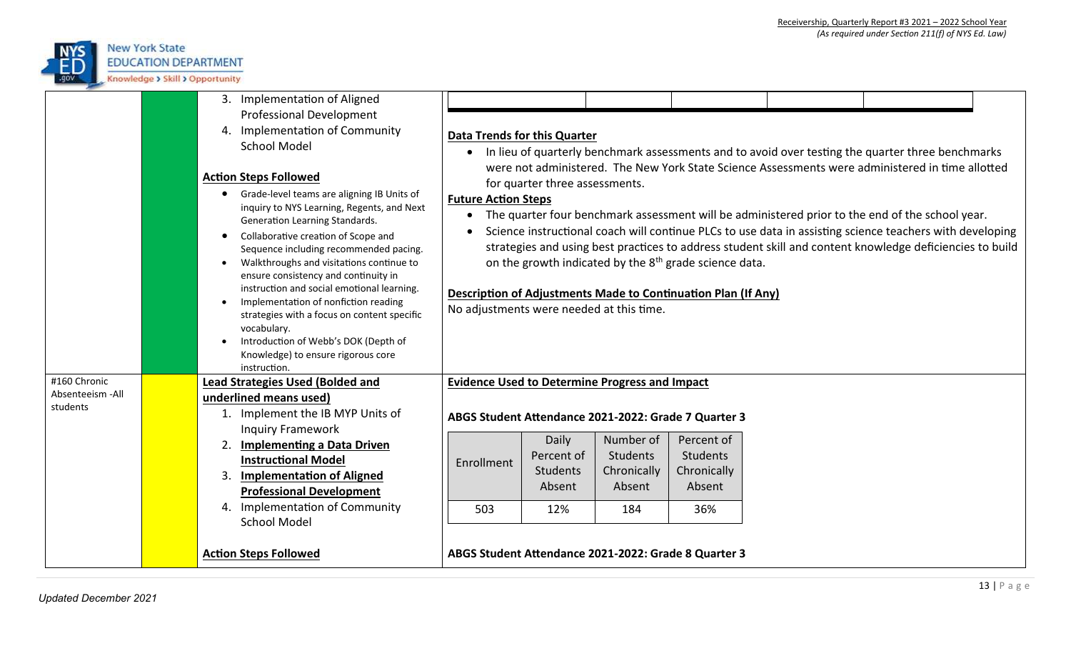

|                                                               | 3. Implementation of Aligned<br><b>Professional Development</b><br>4. Implementation of Community<br><b>School Model</b><br><b>Action Steps Followed</b><br>Grade-level teams are aligning IB Units of<br>inquiry to NYS Learning, Regents, and Next<br>Generation Learning Standards.<br>Collaborative creation of Scope and<br>$\bullet$<br>Sequence including recommended pacing.<br>Walkthroughs and visitations continue to<br>$\bullet$ | <b>Data Trends for this Quarter</b><br>$\bullet$<br><b>Future Action Steps</b><br>$\bullet$ | for quarter three assessments.                   |                                                                                                               |                                                                                                                                     | In lieu of quarterly benchmark assessments and to avoid over testing the quarter three benchmarks<br>were not administered. The New York State Science Assessments were administered in time allotted                                                                                                                   |  |
|---------------------------------------------------------------|-----------------------------------------------------------------------------------------------------------------------------------------------------------------------------------------------------------------------------------------------------------------------------------------------------------------------------------------------------------------------------------------------------------------------------------------------|---------------------------------------------------------------------------------------------|--------------------------------------------------|---------------------------------------------------------------------------------------------------------------|-------------------------------------------------------------------------------------------------------------------------------------|-------------------------------------------------------------------------------------------------------------------------------------------------------------------------------------------------------------------------------------------------------------------------------------------------------------------------|--|
|                                                               | ensure consistency and continuity in<br>instruction and social emotional learning.<br>Implementation of nonfiction reading<br>strategies with a focus on content specific<br>vocabulary.<br>Introduction of Webb's DOK (Depth of<br>Knowledge) to ensure rigorous core<br>instruction.                                                                                                                                                        | No adjustments were needed at this time.                                                    |                                                  |                                                                                                               | on the growth indicated by the 8 <sup>th</sup> grade science data.<br>Description of Adjustments Made to Continuation Plan (If Any) | The quarter four benchmark assessment will be administered prior to the end of the school year.<br>Science instructional coach will continue PLCs to use data in assisting science teachers with developing<br>strategies and using best practices to address student skill and content knowledge deficiencies to build |  |
| #160 Chronic                                                  | <b>Lead Strategies Used (Bolded and</b>                                                                                                                                                                                                                                                                                                                                                                                                       | <b>Evidence Used to Determine Progress and Impact</b>                                       |                                                  |                                                                                                               |                                                                                                                                     |                                                                                                                                                                                                                                                                                                                         |  |
| Absenteeism - All<br>students<br><b>Action Steps Followed</b> | underlined means used)<br>1. Implement the IB MYP Units of<br><b>Inquiry Framework</b><br>2.<br><b>Implementing a Data Driven</b><br><b>Instructional Model</b><br><b>Implementation of Aligned</b><br>3.<br><b>Professional Development</b><br>4. Implementation of Community<br><b>School Model</b>                                                                                                                                         | Enrollment<br>503                                                                           | Daily<br>Percent of<br>Students<br>Absent<br>12% | Number of<br>Students<br>Chronically<br>Absent<br>184<br>ABGS Student Attendance 2021-2022: Grade 8 Quarter 3 | ABGS Student Attendance 2021-2022: Grade 7 Quarter 3<br>Percent of<br><b>Students</b><br>Chronically<br>Absent<br>36%               |                                                                                                                                                                                                                                                                                                                         |  |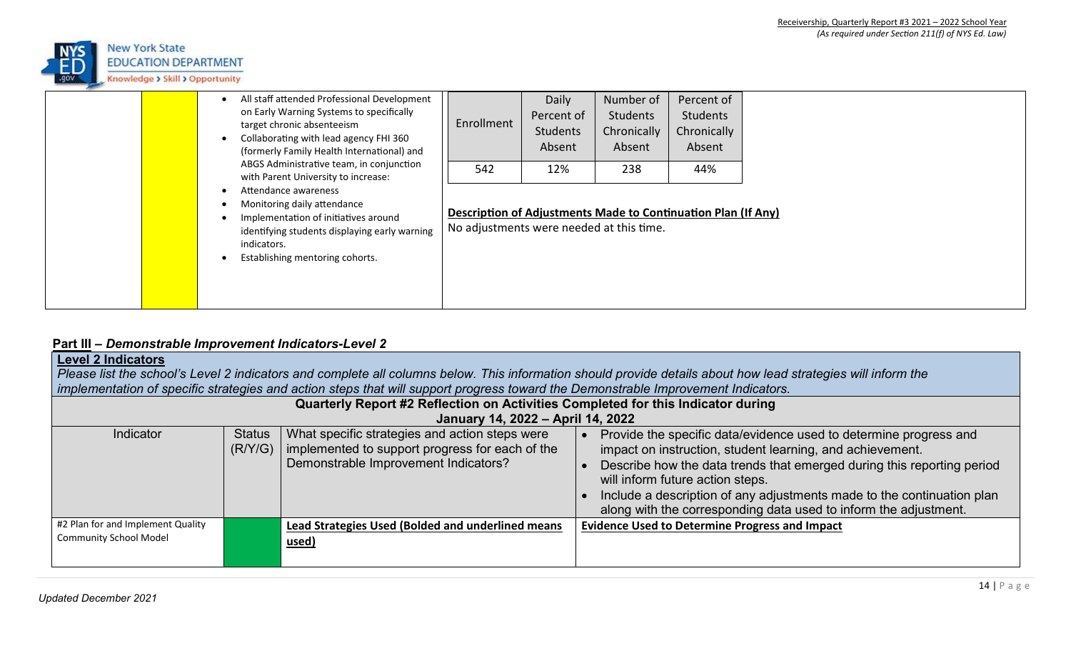

| All staff attended Professional Development<br>on Early Warning Systems to specifically<br>target chronic absenteeism<br>Collaborating with lead agency FHI 360<br>(formerly Family Health International) and                                                                     | Enrollment                                      | Daily<br>Percent of<br>Students<br>Absent | Number of<br>Students<br>Chronically<br>Absent | Percent of<br>Students<br>Chronically<br>Absent                      |  |
|-----------------------------------------------------------------------------------------------------------------------------------------------------------------------------------------------------------------------------------------------------------------------------------|-------------------------------------------------|-------------------------------------------|------------------------------------------------|----------------------------------------------------------------------|--|
| ABGS Administrative team, in conjunction<br>with Parent University to increase:<br>Attendance awareness<br>Monitoring daily attendance<br>Implementation of initiatives around<br>identifying students displaying early warning<br>indicators.<br>Establishing mentoring cohorts. | 542<br>No adjustments were needed at this time. | 12%                                       | 238                                            | 44%<br>Description of Adjustments Made to Continuation Plan (If Any) |  |

## **Part III –** *Demonstrable Improvement Indicators-Level 2*

| <b>Level 2 Indicators</b><br>Please list the school's Level 2 indicators and complete all columns below. This information should provide details about how lead strategies will inform the<br>implementation of specific strategies and action steps that will support progress toward the Demonstrable Improvement Indicators. |                          |                                                                                                                                           |                                                                                                                                                                                                                                                                                                                                                                                            |  |  |
|---------------------------------------------------------------------------------------------------------------------------------------------------------------------------------------------------------------------------------------------------------------------------------------------------------------------------------|--------------------------|-------------------------------------------------------------------------------------------------------------------------------------------|--------------------------------------------------------------------------------------------------------------------------------------------------------------------------------------------------------------------------------------------------------------------------------------------------------------------------------------------------------------------------------------------|--|--|
| Quarterly Report #2 Reflection on Activities Completed for this Indicator during<br>January 14, 2022 - April 14, 2022                                                                                                                                                                                                           |                          |                                                                                                                                           |                                                                                                                                                                                                                                                                                                                                                                                            |  |  |
| Indicator                                                                                                                                                                                                                                                                                                                       | <b>Status</b><br>(R/Y/G) | What specific strategies and action steps were<br>implemented to support progress for each of the<br>Demonstrable Improvement Indicators? | Provide the specific data/evidence used to determine progress and<br>impact on instruction, student learning, and achievement.<br>Describe how the data trends that emerged during this reporting period<br>will inform future action steps.<br>Include a description of any adjustments made to the continuation plan<br>along with the corresponding data used to inform the adjustment. |  |  |
| #2 Plan for and Implement Quality<br><b>Community School Model</b>                                                                                                                                                                                                                                                              |                          | <b>Lead Strategies Used (Bolded and underlined means</b><br>used)                                                                         | <b>Evidence Used to Determine Progress and Impact</b>                                                                                                                                                                                                                                                                                                                                      |  |  |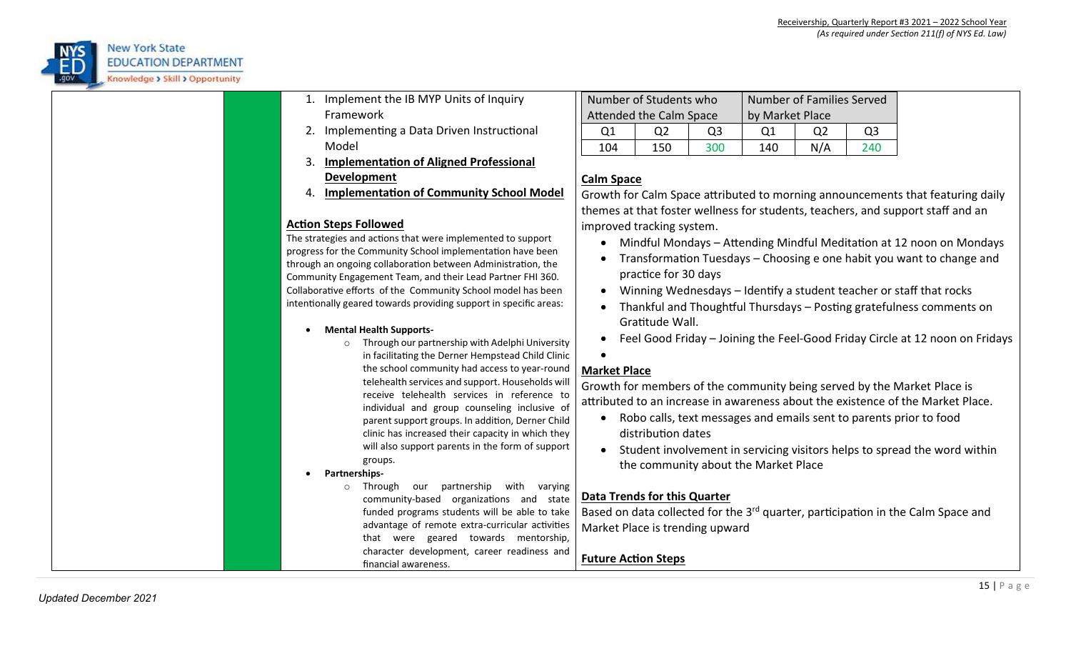

- 1. Implement the IB MYP Units of Inquiry Framework
- 2. Implementing a Data Driven Instructional Model
- 3. **Implementation of Aligned Professional Development**
- 4. **Implementation of Community School Model**

## **Action Steps Followed**

The strategies and actions that were implemented to support progress for the Community School implementation have been through an ongoing collaboration between Administration, the Community Engagement Team, and their Lead Partner FHI 360. Collaborative efforts of the Community School model has been intentionally geared towards providing support in specific areas:

### **Mental Health Supports-**

- o Through our partnership with Adelphi University in facilitating the Derner Hempstead Child Clinic the school community had access to year-round telehealth services and support. Households will receive telehealth services in reference to individual and group counseling inclusive of parent support groups. In addition, Derner Child clinic has increased their capacity in which they will also support parents in the form of support groups.
- **Partnerships**
	- o Through our partnership with varying community-based organizations and state funded programs students will be able to take advantage of remote extra-curricular activities that were geared towards mentorship, character development, career readiness and financial awareness.

|     | Number of Students who         |                | Number of Families Served |     |     |  |  |
|-----|--------------------------------|----------------|---------------------------|-----|-----|--|--|
|     | <b>Attended the Calm Space</b> |                | by Market Place           |     |     |  |  |
| Ω1  | 02                             | O <sub>3</sub> | Ω1                        | Ω2  | O3  |  |  |
| 104 | 150                            | 300            | 140                       | N/A | 240 |  |  |

## **Calm Space**

Growth for Calm Space attributed to morning announcements that featuring daily themes at that foster wellness for students, teachers, and support staff and an improved tracking system.

- Mindful Mondays Attending Mindful Meditation at 12 noon on Mondays
- Transformation Tuesdays Choosing e one habit you want to change and practice for 30 days
- Winning Wednesdays Identify a student teacher or staff that rocks
- Thankful and Thoughtful Thursdays Posting gratefulness comments on Gratitude Wall.
- Feel Good Friday Joining the Feel-Good Friday Circle at 12 noon on Fridays

 $\bullet$ 

## **Market Place**

Growth for members of the community being served by the Market Place is attributed to an increase in awareness about the existence of the Market Place.

- Robo calls, text messages and emails sent to parents prior to food distribution dates
- Student involvement in servicing visitors helps to spread the word within the community about the Market Place

# **Data Trends for this Quarter**

Based on data collected for the 3<sup>rd</sup> quarter, participation in the Calm Space and Market Place is trending upward

**Future Action Steps**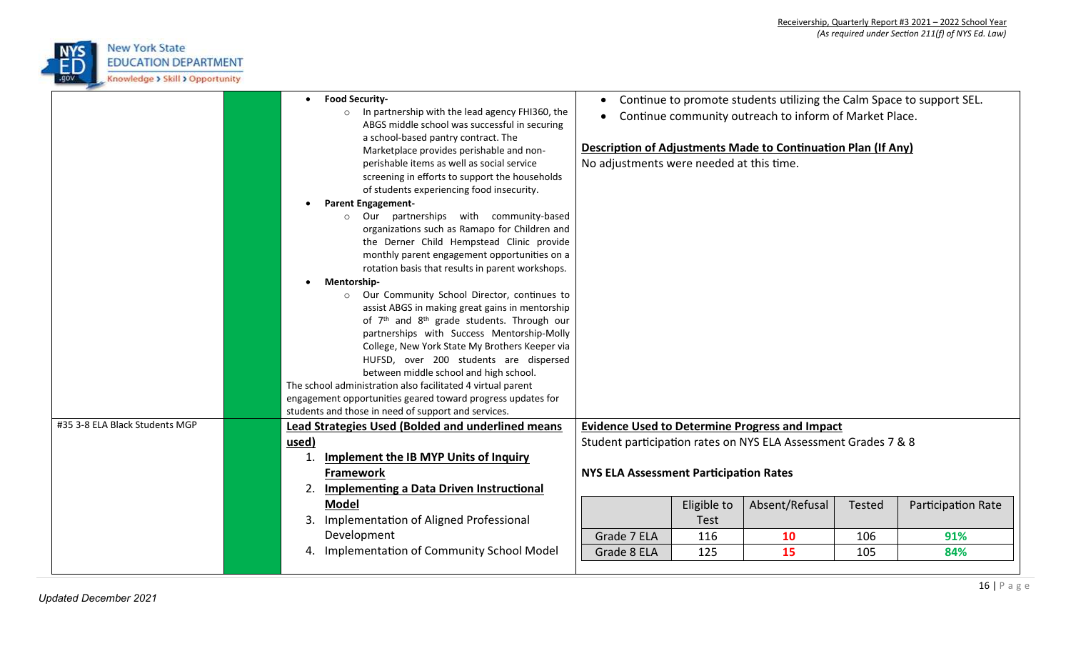

|                                | <b>Food Security-</b><br>o In partnership with the lead agency FHI360, the                                                                                                                                                                                                    | $\bullet$<br>$\bullet$                        |             | Continue to promote students utilizing the Calm Space to support SEL.<br>Continue community outreach to inform of Market Place. |               |                    |
|--------------------------------|-------------------------------------------------------------------------------------------------------------------------------------------------------------------------------------------------------------------------------------------------------------------------------|-----------------------------------------------|-------------|---------------------------------------------------------------------------------------------------------------------------------|---------------|--------------------|
|                                | ABGS middle school was successful in securing<br>a school-based pantry contract. The<br>Marketplace provides perishable and non-<br>perishable items as well as social service<br>screening in efforts to support the households<br>of students experiencing food insecurity. | No adjustments were needed at this time.      |             | Description of Adjustments Made to Continuation Plan (If Any)                                                                   |               |                    |
|                                | <b>Parent Engagement-</b>                                                                                                                                                                                                                                                     |                                               |             |                                                                                                                                 |               |                    |
|                                | o Our partnerships with community-based<br>organizations such as Ramapo for Children and<br>the Derner Child Hempstead Clinic provide<br>monthly parent engagement opportunities on a<br>rotation basis that results in parent workshops.                                     |                                               |             |                                                                                                                                 |               |                    |
|                                | Mentorship-                                                                                                                                                                                                                                                                   |                                               |             |                                                                                                                                 |               |                    |
|                                | o Our Community School Director, continues to<br>assist ABGS in making great gains in mentorship                                                                                                                                                                              |                                               |             |                                                                                                                                 |               |                    |
|                                | of 7 <sup>th</sup> and 8 <sup>th</sup> grade students. Through our                                                                                                                                                                                                            |                                               |             |                                                                                                                                 |               |                    |
|                                | partnerships with Success Mentorship-Molly                                                                                                                                                                                                                                    |                                               |             |                                                                                                                                 |               |                    |
|                                | College, New York State My Brothers Keeper via                                                                                                                                                                                                                                |                                               |             |                                                                                                                                 |               |                    |
|                                | HUFSD, over 200 students are dispersed<br>between middle school and high school.                                                                                                                                                                                              |                                               |             |                                                                                                                                 |               |                    |
|                                | The school administration also facilitated 4 virtual parent                                                                                                                                                                                                                   |                                               |             |                                                                                                                                 |               |                    |
|                                | engagement opportunities geared toward progress updates for                                                                                                                                                                                                                   |                                               |             |                                                                                                                                 |               |                    |
|                                | students and those in need of support and services.                                                                                                                                                                                                                           |                                               |             |                                                                                                                                 |               |                    |
| #35 3-8 ELA Black Students MGP | Lead Strategies Used (Bolded and underlined means                                                                                                                                                                                                                             |                                               |             | <b>Evidence Used to Determine Progress and Impact</b>                                                                           |               |                    |
|                                | used)                                                                                                                                                                                                                                                                         |                                               |             | Student participation rates on NYS ELA Assessment Grades 7 & 8                                                                  |               |                    |
|                                | <b>Implement the IB MYP Units of Inquiry</b>                                                                                                                                                                                                                                  |                                               |             |                                                                                                                                 |               |                    |
|                                | <b>Framework</b>                                                                                                                                                                                                                                                              | <b>NYS ELA Assessment Participation Rates</b> |             |                                                                                                                                 |               |                    |
|                                | Implementing a Data Driven Instructional<br>2.                                                                                                                                                                                                                                |                                               |             |                                                                                                                                 |               |                    |
|                                | Model                                                                                                                                                                                                                                                                         |                                               | Eligible to | Absent/Refusal                                                                                                                  | <b>Tested</b> | Participation Rate |
|                                | Implementation of Aligned Professional<br>3.                                                                                                                                                                                                                                  |                                               | <b>Test</b> |                                                                                                                                 |               |                    |
|                                | Development                                                                                                                                                                                                                                                                   | Grade 7 ELA                                   | 116         | 10                                                                                                                              | 106           | 91%                |
|                                | 4. Implementation of Community School Model                                                                                                                                                                                                                                   | Grade 8 ELA                                   | 125         | 15                                                                                                                              | 105           | 84%                |
|                                |                                                                                                                                                                                                                                                                               |                                               |             |                                                                                                                                 |               |                    |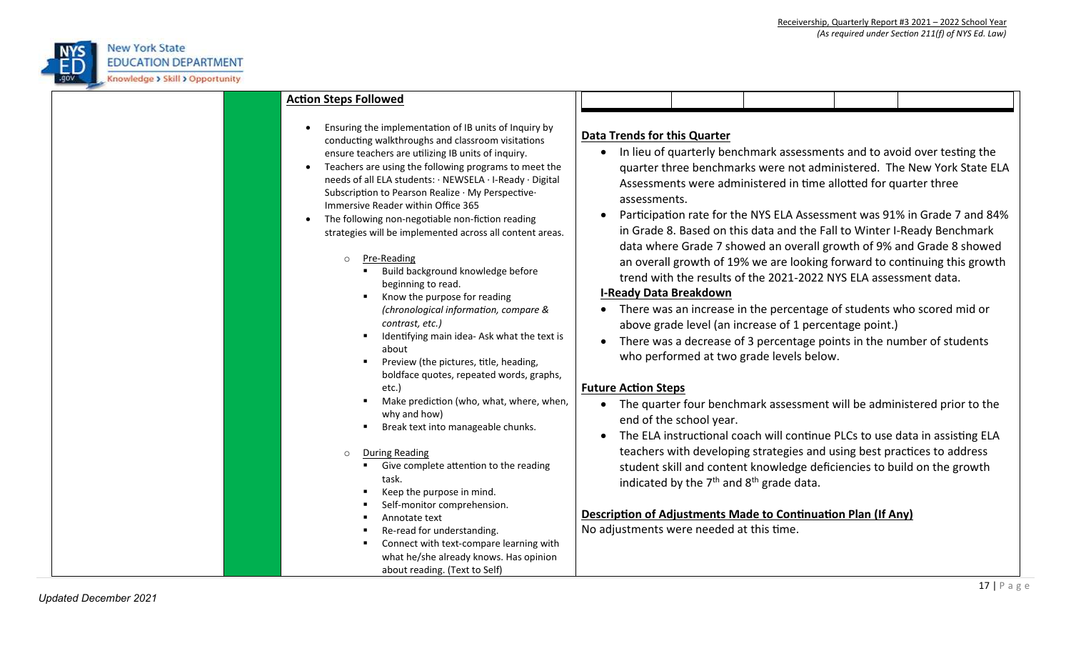

| <b>Action Steps Followed</b>                                                                                                                                                                                                                                                                                                                                                                                                                                                                                               |                                                                                                                                                                                                                                                                                                                                                                                                                                                                                                                                                                                                        |  |  |  |  |
|----------------------------------------------------------------------------------------------------------------------------------------------------------------------------------------------------------------------------------------------------------------------------------------------------------------------------------------------------------------------------------------------------------------------------------------------------------------------------------------------------------------------------|--------------------------------------------------------------------------------------------------------------------------------------------------------------------------------------------------------------------------------------------------------------------------------------------------------------------------------------------------------------------------------------------------------------------------------------------------------------------------------------------------------------------------------------------------------------------------------------------------------|--|--|--|--|
| Ensuring the implementation of IB units of Inquiry by<br>conducting walkthroughs and classroom visitations<br>ensure teachers are utilizing IB units of inquiry.<br>Teachers are using the following programs to meet the<br>needs of all ELA students: · NEWSELA · I-Ready · Digital<br>Subscription to Pearson Realize · My Perspective·<br>Immersive Reader within Office 365<br>The following non-negotiable non-fiction reading<br>strategies will be implemented across all content areas.<br>Pre-Reading<br>$\circ$ | <b>Data Trends for this Quarter</b><br>In lieu of quarterly benchmark assessments and to avoid over testing the<br>$\bullet$<br>quarter three benchmarks were not administered. The New York State ELA<br>Assessments were administered in time allotted for quarter three<br>assessments.<br>Participation rate for the NYS ELA Assessment was 91% in Grade 7 and 84%<br>in Grade 8. Based on this data and the Fall to Winter I-Ready Benchmark<br>data where Grade 7 showed an overall growth of 9% and Grade 8 showed<br>an overall growth of 19% we are looking forward to continuing this growth |  |  |  |  |
| Build background knowledge before<br>beginning to read.<br>Know the purpose for reading<br>(chronological information, compare &<br>contrast, etc.)<br>Identifying main idea- Ask what the text is<br>п<br>about<br>Preview (the pictures, title, heading,<br>п<br>boldface quotes, repeated words, graphs,                                                                                                                                                                                                                | trend with the results of the 2021-2022 NYS ELA assessment data.<br><b>I-Ready Data Breakdown</b><br>• There was an increase in the percentage of students who scored mid or<br>above grade level (an increase of 1 percentage point.)<br>There was a decrease of 3 percentage points in the number of students<br>$\bullet$<br>who performed at two grade levels below.                                                                                                                                                                                                                               |  |  |  |  |
| etc.)<br>Make prediction (who, what, where, when,<br>why and how)<br>Break text into manageable chunks.                                                                                                                                                                                                                                                                                                                                                                                                                    | <b>Future Action Steps</b><br>The quarter four benchmark assessment will be administered prior to the<br>end of the school year.<br>The ELA instructional coach will continue PLCs to use data in assisting ELA                                                                                                                                                                                                                                                                                                                                                                                        |  |  |  |  |
| <b>During Reading</b><br>$\circ$<br>Give complete attention to the reading<br>task.<br>Keep the purpose in mind.<br>Self-monitor comprehension.                                                                                                                                                                                                                                                                                                                                                                            | teachers with developing strategies and using best practices to address<br>student skill and content knowledge deficiencies to build on the growth<br>indicated by the $7th$ and $8th$ grade data.                                                                                                                                                                                                                                                                                                                                                                                                     |  |  |  |  |
| Annotate text<br>Re-read for understanding.<br>Connect with text-compare learning with<br>what he/she already knows. Has opinion<br>about reading. (Text to Self)                                                                                                                                                                                                                                                                                                                                                          | <b>Description of Adjustments Made to Continuation Plan (If Any)</b><br>No adjustments were needed at this time.                                                                                                                                                                                                                                                                                                                                                                                                                                                                                       |  |  |  |  |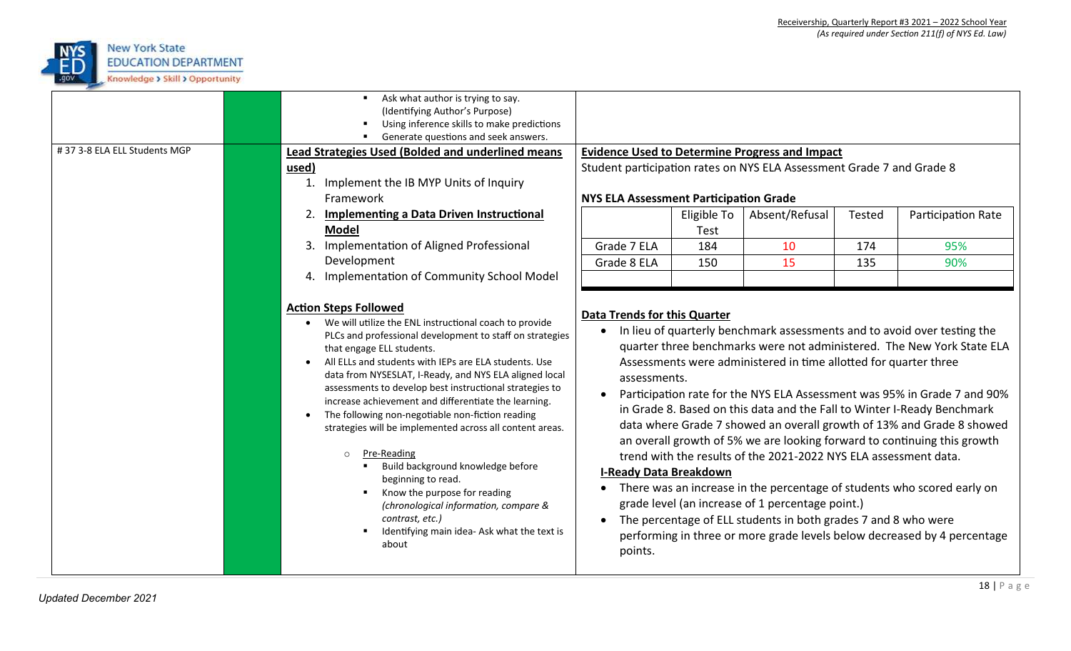

| #37 3-8 ELA ELL Students MGP | Ask what author is trying to say.<br>$\blacksquare$ .<br>(Identifying Author's Purpose)<br>Using inference skills to make predictions<br>Generate questions and seek answers.<br>Lead Strategies Used (Bolded and underlined means<br>used)<br>Implement the IB MYP Units of Inquiry<br>1.<br>Framework                                                                                                                                                                                                                                                                                                                                                                                                                                                                        | <b>NYS ELA Assessment Participation Grade</b>                                                                             |                                          | <b>Evidence Used to Determine Progress and Impact</b><br>Student participation rates on NYS ELA Assessment Grade 7 and Grade 8                                                                                                                             |                      |                                                                                                                                                                                                                                                                                                                                                                                                                                                                                                                                                                                                                         |
|------------------------------|--------------------------------------------------------------------------------------------------------------------------------------------------------------------------------------------------------------------------------------------------------------------------------------------------------------------------------------------------------------------------------------------------------------------------------------------------------------------------------------------------------------------------------------------------------------------------------------------------------------------------------------------------------------------------------------------------------------------------------------------------------------------------------|---------------------------------------------------------------------------------------------------------------------------|------------------------------------------|------------------------------------------------------------------------------------------------------------------------------------------------------------------------------------------------------------------------------------------------------------|----------------------|-------------------------------------------------------------------------------------------------------------------------------------------------------------------------------------------------------------------------------------------------------------------------------------------------------------------------------------------------------------------------------------------------------------------------------------------------------------------------------------------------------------------------------------------------------------------------------------------------------------------------|
|                              | Implementing a Data Driven Instructional<br><b>Model</b><br>Implementation of Aligned Professional<br>3.<br>Development<br>4. Implementation of Community School Model                                                                                                                                                                                                                                                                                                                                                                                                                                                                                                                                                                                                         | Grade 7 ELA<br>Grade 8 ELA                                                                                                | Eligible To<br><b>Test</b><br>184<br>150 | Absent/Refusal<br>10<br>15                                                                                                                                                                                                                                 | Tested<br>174<br>135 | Participation Rate<br>95%<br>90%                                                                                                                                                                                                                                                                                                                                                                                                                                                                                                                                                                                        |
|                              | <b>Action Steps Followed</b><br>We will utilize the ENL instructional coach to provide<br>PLCs and professional development to staff on strategies<br>that engage ELL students.<br>All ELLs and students with IEPs are ELA students. Use<br>data from NYSESLAT, I-Ready, and NYS ELA aligned local<br>assessments to develop best instructional strategies to<br>increase achievement and differentiate the learning.<br>The following non-negotiable non-fiction reading<br>strategies will be implemented across all content areas.<br>Pre-Reading<br>$\circ$<br>Build background knowledge before<br>beginning to read.<br>Know the purpose for reading<br>(chronological information, compare &<br>contrast, etc.)<br>Identifying main idea- Ask what the text is<br>about | <b>Data Trends for this Quarter</b><br>assessments.<br>$\bullet$<br><b>I-Ready Data Breakdown</b><br>$\bullet$<br>points. |                                          | Assessments were administered in time allotted for quarter three<br>trend with the results of the 2021-2022 NYS ELA assessment data.<br>grade level (an increase of 1 percentage point.)<br>The percentage of ELL students in both grades 7 and 8 who were |                      | In lieu of quarterly benchmark assessments and to avoid over testing the<br>quarter three benchmarks were not administered. The New York State ELA<br>Participation rate for the NYS ELA Assessment was 95% in Grade 7 and 90%<br>in Grade 8. Based on this data and the Fall to Winter I-Ready Benchmark<br>data where Grade 7 showed an overall growth of 13% and Grade 8 showed<br>an overall growth of 5% we are looking forward to continuing this growth<br>• There was an increase in the percentage of students who scored early on<br>performing in three or more grade levels below decreased by 4 percentage |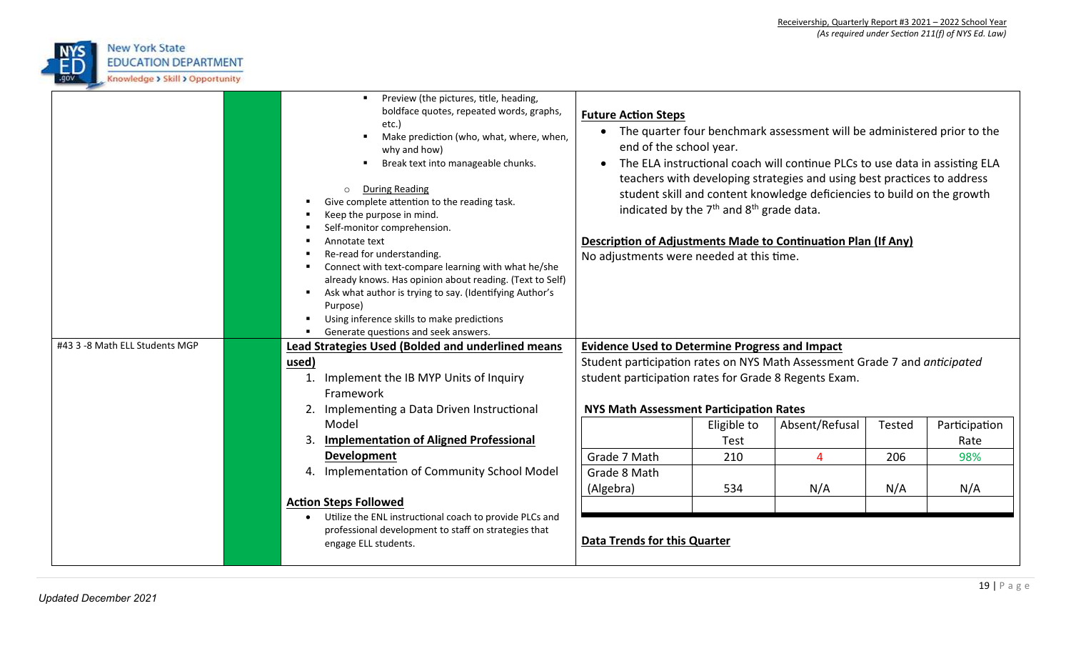

| #43 3 -8 Math ELL Students MGP | Preview (the pictures, title, heading,<br>boldface quotes, repeated words, graphs,<br>etc.)<br>Make prediction (who, what, where, when,<br>why and how)<br>Break text into manageable chunks.<br><b>During Reading</b><br>Give complete attention to the reading task.<br>Keep the purpose in mind.<br>Self-monitor comprehension.<br>Annotate text<br>Re-read for understanding.<br>Connect with text-compare learning with what he/she<br>already knows. Has opinion about reading. (Text to Self)<br>Ask what author is trying to say. (Identifying Author's<br>Purpose)<br>Using inference skills to make predictions<br>Generate questions and seek answers. | <b>Future Action Steps</b><br>$\bullet$<br>end of the school year.<br>$\bullet$<br>Description of Adjustments Made to Continuation Plan (If Any)<br>No adjustments were needed at this time. | indicated by the 7 <sup>th</sup> and 8 <sup>th</sup> grade data. | The quarter four benchmark assessment will be administered prior to the<br>The ELA instructional coach will continue PLCs to use data in assisting ELA<br>teachers with developing strategies and using best practices to address<br>student skill and content knowledge deficiencies to build on the growth |        |               |
|--------------------------------|-------------------------------------------------------------------------------------------------------------------------------------------------------------------------------------------------------------------------------------------------------------------------------------------------------------------------------------------------------------------------------------------------------------------------------------------------------------------------------------------------------------------------------------------------------------------------------------------------------------------------------------------------------------------|----------------------------------------------------------------------------------------------------------------------------------------------------------------------------------------------|------------------------------------------------------------------|--------------------------------------------------------------------------------------------------------------------------------------------------------------------------------------------------------------------------------------------------------------------------------------------------------------|--------|---------------|
|                                | Lead Strategies Used (Bolded and underlined means<br>used)                                                                                                                                                                                                                                                                                                                                                                                                                                                                                                                                                                                                        | <b>Evidence Used to Determine Progress and Impact</b><br>Student participation rates on NYS Math Assessment Grade 7 and anticipated                                                          |                                                                  |                                                                                                                                                                                                                                                                                                              |        |               |
|                                | Implement the IB MYP Units of Inquiry                                                                                                                                                                                                                                                                                                                                                                                                                                                                                                                                                                                                                             | student participation rates for Grade 8 Regents Exam.                                                                                                                                        |                                                                  |                                                                                                                                                                                                                                                                                                              |        |               |
|                                | Framework                                                                                                                                                                                                                                                                                                                                                                                                                                                                                                                                                                                                                                                         |                                                                                                                                                                                              |                                                                  |                                                                                                                                                                                                                                                                                                              |        |               |
|                                | 2. Implementing a Data Driven Instructional                                                                                                                                                                                                                                                                                                                                                                                                                                                                                                                                                                                                                       | NYS Math Assessment Participation Rates                                                                                                                                                      |                                                                  |                                                                                                                                                                                                                                                                                                              |        |               |
|                                | Model                                                                                                                                                                                                                                                                                                                                                                                                                                                                                                                                                                                                                                                             |                                                                                                                                                                                              | Eligible to                                                      | Absent/Refusal                                                                                                                                                                                                                                                                                               | Tested | Participation |
|                                | <b>Implementation of Aligned Professional</b>                                                                                                                                                                                                                                                                                                                                                                                                                                                                                                                                                                                                                     |                                                                                                                                                                                              | Test                                                             |                                                                                                                                                                                                                                                                                                              |        | Rate          |
|                                | Development                                                                                                                                                                                                                                                                                                                                                                                                                                                                                                                                                                                                                                                       | Grade 7 Math                                                                                                                                                                                 | 210                                                              | $\overline{4}$                                                                                                                                                                                                                                                                                               | 206    | 98%           |
|                                | 4. Implementation of Community School Model                                                                                                                                                                                                                                                                                                                                                                                                                                                                                                                                                                                                                       | Grade 8 Math<br>(Algebra)                                                                                                                                                                    | 534                                                              | N/A                                                                                                                                                                                                                                                                                                          | N/A    | N/A           |
|                                | <b>Action Steps Followed</b>                                                                                                                                                                                                                                                                                                                                                                                                                                                                                                                                                                                                                                      |                                                                                                                                                                                              |                                                                  |                                                                                                                                                                                                                                                                                                              |        |               |
|                                | Utilize the ENL instructional coach to provide PLCs and<br>professional development to staff on strategies that<br>engage ELL students.                                                                                                                                                                                                                                                                                                                                                                                                                                                                                                                           | <b>Data Trends for this Quarter</b>                                                                                                                                                          |                                                                  |                                                                                                                                                                                                                                                                                                              |        |               |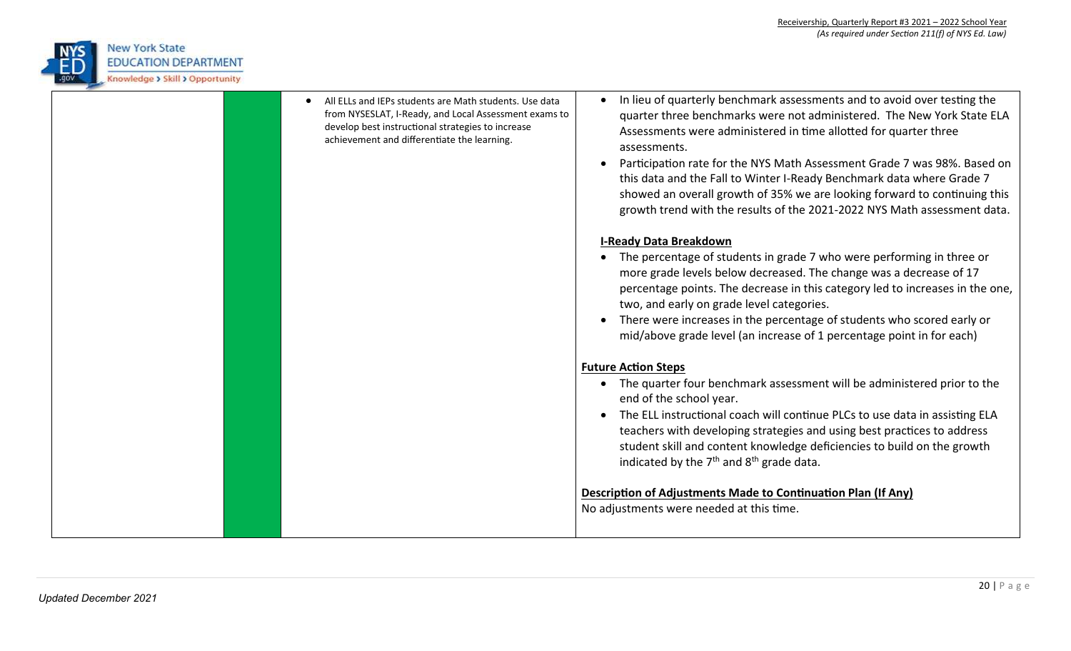

| All ELLs and IEPs students are Math students. Use data<br>from NYSESLAT, I-Ready, and Local Assessment exams to<br>develop best instructional strategies to increase<br>achievement and differentiate the learning. | In lieu of quarterly benchmark assessments and to avoid over testing the<br>quarter three benchmarks were not administered. The New York State ELA<br>Assessments were administered in time allotted for quarter three<br>assessments.<br>Participation rate for the NYS Math Assessment Grade 7 was 98%. Based on<br>$\bullet$<br>this data and the Fall to Winter I-Ready Benchmark data where Grade 7<br>showed an overall growth of 35% we are looking forward to continuing this<br>growth trend with the results of the 2021-2022 NYS Math assessment data.<br><b>I-Ready Data Breakdown</b><br>The percentage of students in grade 7 who were performing in three or<br>more grade levels below decreased. The change was a decrease of 17<br>percentage points. The decrease in this category led to increases in the one,<br>two, and early on grade level categories.<br>There were increases in the percentage of students who scored early or<br>mid/above grade level (an increase of 1 percentage point in for each) |
|---------------------------------------------------------------------------------------------------------------------------------------------------------------------------------------------------------------------|------------------------------------------------------------------------------------------------------------------------------------------------------------------------------------------------------------------------------------------------------------------------------------------------------------------------------------------------------------------------------------------------------------------------------------------------------------------------------------------------------------------------------------------------------------------------------------------------------------------------------------------------------------------------------------------------------------------------------------------------------------------------------------------------------------------------------------------------------------------------------------------------------------------------------------------------------------------------------------------------------------------------------------|
|                                                                                                                                                                                                                     | <b>Future Action Steps</b>                                                                                                                                                                                                                                                                                                                                                                                                                                                                                                                                                                                                                                                                                                                                                                                                                                                                                                                                                                                                         |
|                                                                                                                                                                                                                     | • The quarter four benchmark assessment will be administered prior to the<br>end of the school year.                                                                                                                                                                                                                                                                                                                                                                                                                                                                                                                                                                                                                                                                                                                                                                                                                                                                                                                               |
|                                                                                                                                                                                                                     | The ELL instructional coach will continue PLCs to use data in assisting ELA<br>teachers with developing strategies and using best practices to address<br>student skill and content knowledge deficiencies to build on the growth<br>indicated by the $7th$ and $8th$ grade data.                                                                                                                                                                                                                                                                                                                                                                                                                                                                                                                                                                                                                                                                                                                                                  |
|                                                                                                                                                                                                                     | Description of Adjustments Made to Continuation Plan (If Any)                                                                                                                                                                                                                                                                                                                                                                                                                                                                                                                                                                                                                                                                                                                                                                                                                                                                                                                                                                      |
|                                                                                                                                                                                                                     | No adjustments were needed at this time.                                                                                                                                                                                                                                                                                                                                                                                                                                                                                                                                                                                                                                                                                                                                                                                                                                                                                                                                                                                           |
|                                                                                                                                                                                                                     |                                                                                                                                                                                                                                                                                                                                                                                                                                                                                                                                                                                                                                                                                                                                                                                                                                                                                                                                                                                                                                    |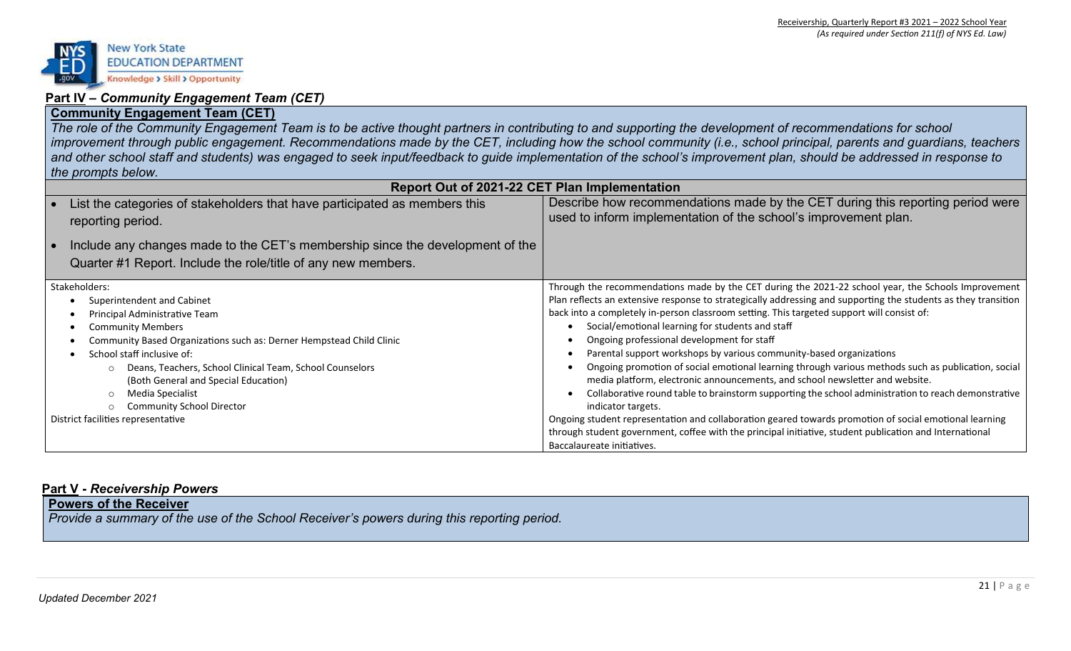

## **Part IV –** *Community Engagement Team (CET)*

## **Community Engagement Team (CET)**

*The role of the Community Engagement Team is to be active thought partners in contributing to and supporting the development of recommendations for school*  improvement through public engagement. Recommendations made by the CET, including how the school community (i.e., school principal, parents and guardians, teachers and other school staff and students) was engaged to seek input/feedback to guide implementation of the school's improvement plan, should be addressed in response to *the prompts below.*

| Report Out of 2021-22 CET Plan Implementation                                                   |                                                                                                                                                   |  |  |  |  |
|-------------------------------------------------------------------------------------------------|---------------------------------------------------------------------------------------------------------------------------------------------------|--|--|--|--|
| List the categories of stakeholders that have participated as members this<br>reporting period. | Describe how recommendations made by the CET during this reporting period were<br>used to inform implementation of the school's improvement plan. |  |  |  |  |
| Include any changes made to the CET's membership since the development of the                   |                                                                                                                                                   |  |  |  |  |
| Quarter #1 Report. Include the role/title of any new members.                                   |                                                                                                                                                   |  |  |  |  |
| Stakeholders:                                                                                   | Through the recommendations made by the CET during the 2021-22 school year, the Schools Improvement                                               |  |  |  |  |
| Superintendent and Cabinet                                                                      | Plan reflects an extensive response to strategically addressing and supporting the students as they transition                                    |  |  |  |  |
| Principal Administrative Team                                                                   | back into a completely in-person classroom setting. This targeted support will consist of:                                                        |  |  |  |  |
| <b>Community Members</b>                                                                        | Social/emotional learning for students and staff                                                                                                  |  |  |  |  |
| Community Based Organizations such as: Derner Hempstead Child Clinic                            | Ongoing professional development for staff                                                                                                        |  |  |  |  |
| School staff inclusive of:                                                                      | Parental support workshops by various community-based organizations                                                                               |  |  |  |  |
| Deans, Teachers, School Clinical Team, School Counselors                                        | Ongoing promotion of social emotional learning through various methods such as publication, social                                                |  |  |  |  |
| (Both General and Special Education)                                                            | media platform, electronic announcements, and school newsletter and website.                                                                      |  |  |  |  |
| Media Specialist                                                                                | Collaborative round table to brainstorm supporting the school administration to reach demonstrative                                               |  |  |  |  |
| <b>Community School Director</b>                                                                | indicator targets.                                                                                                                                |  |  |  |  |
| District facilities representative                                                              | Ongoing student representation and collaboration geared towards promotion of social emotional learning                                            |  |  |  |  |
|                                                                                                 | through student government, coffee with the principal initiative, student publication and International                                           |  |  |  |  |
|                                                                                                 | Baccalaureate initiatives.                                                                                                                        |  |  |  |  |

## **Part V -** *Receivership Powers*

**Powers of the Receiver**  *Provide a summary of the use of the School Receiver's powers during this reporting period.*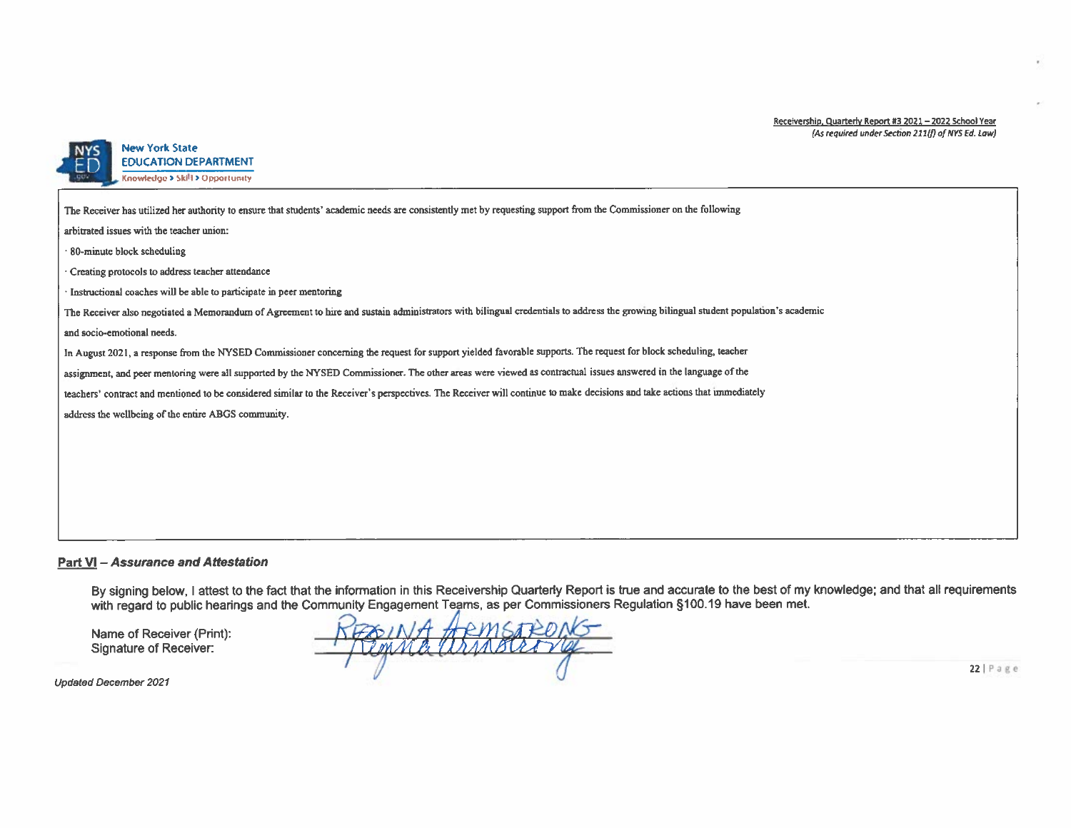#### Receivership, Quarterly Report #3 2021 - 2022 School Year (As required under Section 211(f) of NYS Ed. Law)



#### **New York State EDUCATION DEPARTMENT** Knowledge > Skill > Opportunity

The Receiver has utilized her authority to ensure that students' academic needs are consistently met by requesting support from the Commissioner on the following arbitrated issues with the teacher union: 80-minute block scheduling Creating protocols to address teacher attendance · Instructional coaches will be able to participate in peer mentoring The Receiver also negotiated a Memorandum of Agreement to hire and sustain administrators with bilingual credentials to address the growing bilingual student population's academic and socio-emotional needs. In August 2021, a response from the NYSED Commissioner concerning the request for support yielded favorable supports. The request for block scheduling, teacher assignment, and peer mentoring were all supported by the NYSED Commissioner. The other areas were viewed as contractual issues answered in the language of the teachers' contract and mentioned to be considered similar to the Receiver's perspectives. The Receiver will continue to make decisions and take actions that immediately address the wellbeing of the entire ABGS community.

#### **Part VI - Assurance and Attestation**

By signing below, I attest to the fact that the information in this Receivership Quarterly Report is true and accurate to the best of my knowledge; and that all requirements with regard to public hearings and the Community Engagement Teams, as per Commissioners Regulation §100.19 have been met.

Name of Receiver (Print): Signature of Receiver:

POINT HEMSTEDNS

**Updated December 2021** 

 $22$  | Page